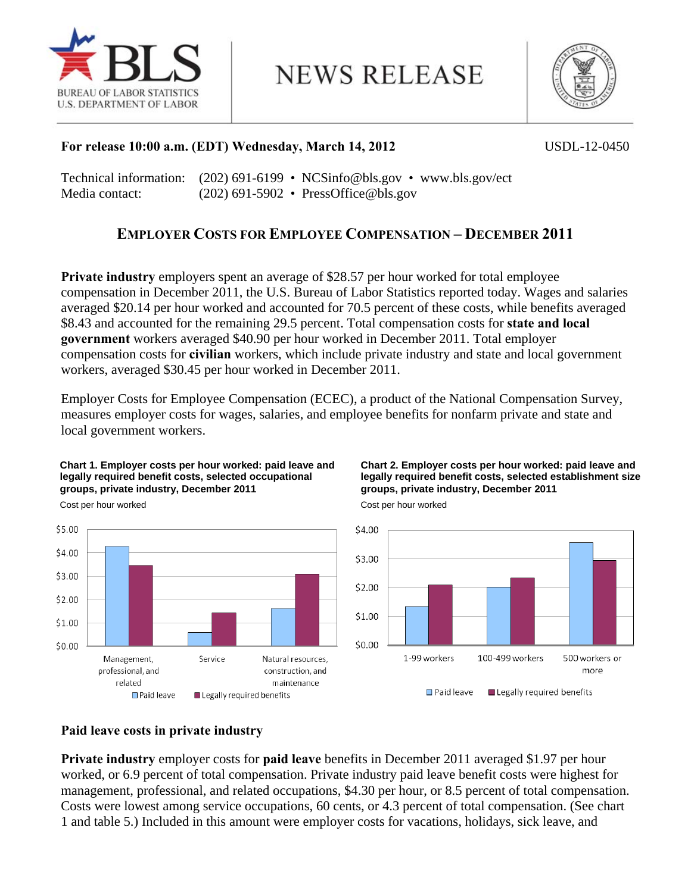

# **NEWS RELEASE**



# **For release 10:00 a.m. (EDT) Wednesday, March 14, 2012** USDL-12-0450

Technical information: (202) 691-6199 • NCSinfo@bls.gov • www.bls.gov/ect Media contact: (202) 691-5902 • PressOffice@bls.gov

# **EMPLOYER COSTS FOR EMPLOYEE COMPENSATION – DECEMBER 2011**

**Private industry** employers spent an average of \$28.57 per hour worked for total employee compensation in December 2011, the U.S. Bureau of Labor Statistics reported today. Wages and salaries averaged \$20.14 per hour worked and accounted for 70.5 percent of these costs, while benefits averaged \$8.43 and accounted for the remaining 29.5 percent. Total compensation costs for **state and local government** workers averaged \$40.90 per hour worked in December 2011. Total employer compensation costs for **civilian** workers, which include private industry and state and local government workers, averaged \$30.45 per hour worked in December 2011.

Employer Costs for Employee Compensation (ECEC), a product of the National Compensation Survey, measures employer costs for wages, salaries, and employee benefits for nonfarm private and state and local government workers.

### **Chart 1. Employer costs per hour worked: paid leave and legally required benefit costs, selected occupational groups, private industry, December 2011**



### **Chart 2. Employer costs per hour worked: paid leave and legally required benefit costs, selected establishment size groups, private industry, December 2011**



Cost per hour worked

### **Paid leave costs in private industry**

**Private industry** employer costs for **paid leave** benefits in December 2011 averaged \$1.97 per hour worked, or 6.9 percent of total compensation. Private industry paid leave benefit costs were highest for management, professional, and related occupations, \$4.30 per hour, or 8.5 percent of total compensation. Costs were lowest among service occupations, 60 cents, or 4.3 percent of total compensation. (See chart 1 and table 5.) Included in this amount were employer costs for vacations, holidays, sick leave, and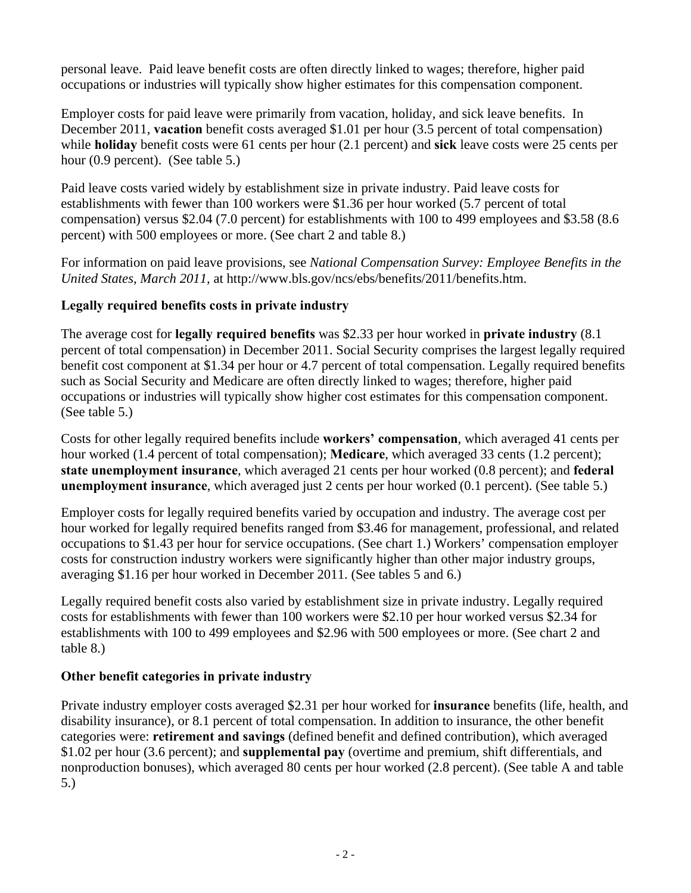personal leave. Paid leave benefit costs are often directly linked to wages; therefore, higher paid occupations or industries will typically show higher estimates for this compensation component.

Employer costs for paid leave were primarily from vacation, holiday, and sick leave benefits. In December 2011, **vacation** benefit costs averaged \$1.01 per hour (3.5 percent of total compensation) while **holiday** benefit costs were 61 cents per hour (2.1 percent) and **sick** leave costs were 25 cents per hour (0.9 percent). (See table 5.)

Paid leave costs varied widely by establishment size in private industry. Paid leave costs for establishments with fewer than 100 workers were \$1.36 per hour worked (5.7 percent of total compensation) versus \$2.04 (7.0 percent) for establishments with 100 to 499 employees and \$3.58 (8.6 percent) with 500 employees or more. (See chart 2 and table 8.)

For information on paid leave provisions, see *National Compensation Survey: Employee Benefits in the United States, March 2011,* at http://www.bls.gov/ncs/ebs/benefits/2011/benefits.htm.

# **Legally required benefits costs in private industry**

The average cost for **legally required benefits** was \$2.33 per hour worked in **private industry** (8.1 percent of total compensation) in December 2011. Social Security comprises the largest legally required benefit cost component at \$1.34 per hour or 4.7 percent of total compensation. Legally required benefits such as Social Security and Medicare are often directly linked to wages; therefore, higher paid occupations or industries will typically show higher cost estimates for this compensation component. (See table 5.)

Costs for other legally required benefits include **workers' compensation**, which averaged 41 cents per hour worked (1.4 percent of total compensation); **Medicare**, which averaged 33 cents (1.2 percent); **state unemployment insurance**, which averaged 21 cents per hour worked (0.8 percent); and **federal unemployment insurance**, which averaged just 2 cents per hour worked (0.1 percent). (See table 5.)

Employer costs for legally required benefits varied by occupation and industry. The average cost per hour worked for legally required benefits ranged from \$3.46 for management, professional, and related occupations to \$1.43 per hour for service occupations. (See chart 1.) Workers' compensation employer costs for construction industry workers were significantly higher than other major industry groups, averaging \$1.16 per hour worked in December 2011. (See tables 5 and 6.)

Legally required benefit costs also varied by establishment size in private industry. Legally required costs for establishments with fewer than 100 workers were \$2.10 per hour worked versus \$2.34 for establishments with 100 to 499 employees and \$2.96 with 500 employees or more. (See chart 2 and table 8.)

# **Other benefit categories in private industry**

Private industry employer costs averaged \$2.31 per hour worked for **insurance** benefits (life, health, and disability insurance), or 8.1 percent of total compensation. In addition to insurance, the other benefit categories were: **retirement and savings** (defined benefit and defined contribution), which averaged \$1.02 per hour (3.6 percent); and **supplemental pay** (overtime and premium, shift differentials, and nonproduction bonuses), which averaged 80 cents per hour worked (2.8 percent). (See table A and table 5.)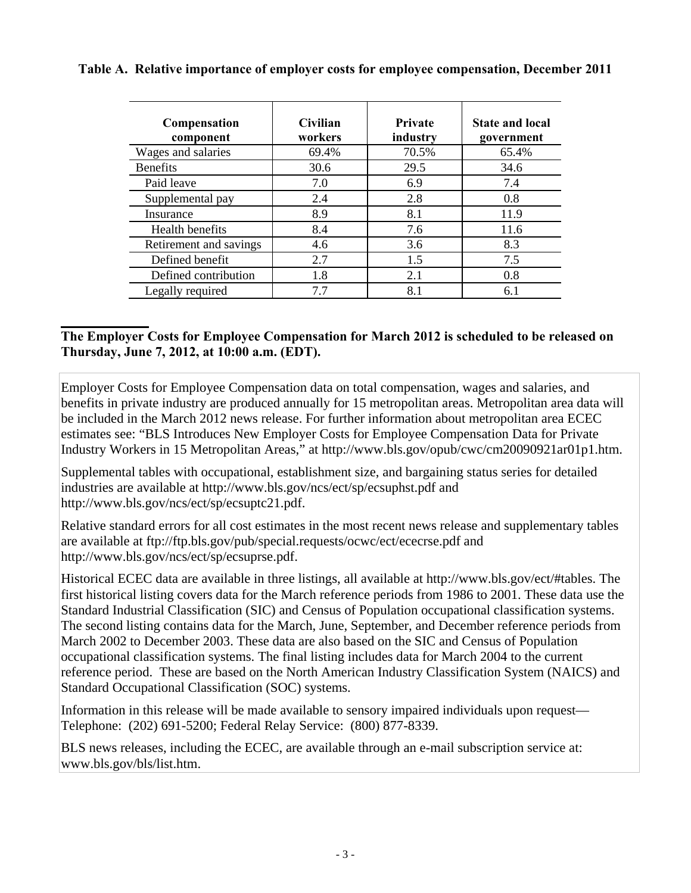| Compensation<br>component | Civilian<br>workers | <b>Private</b><br>industry | <b>State and local</b><br>government |
|---------------------------|---------------------|----------------------------|--------------------------------------|
| Wages and salaries        | 69.4%               | 70.5%                      | 65.4%                                |
| <b>Benefits</b>           | 30.6                | 29.5                       | 34.6                                 |
| Paid leave                | 7.0                 | 6.9                        | 7.4                                  |
| Supplemental pay          | 2.4                 | 2.8                        | 0.8                                  |
| Insurance                 | 8.9                 | 8.1                        | 11.9                                 |
| Health benefits           | 8.4                 | 7.6                        | 11.6                                 |
| Retirement and savings    | 4.6                 | 3.6                        | 8.3                                  |
| Defined benefit           | 2.7                 | 1.5                        | 7.5                                  |
| Defined contribution      | 1.8                 | 2.1                        | 0.8                                  |
| Legally required          | 7.7                 | 8.1                        | 6.1                                  |

# **Table A. Relative importance of employer costs for employee compensation, December 2011**

### **\_\_\_\_\_\_\_\_\_\_\_\_\_ The Employer Costs for Employee Compensation for March 2012 is scheduled to be released on Thursday, June 7, 2012, at 10:00 a.m. (EDT).**

Employer Costs for Employee Compensation data on total compensation, wages and salaries, and benefits in private industry are produced annually for 15 metropolitan areas. Metropolitan area data will be included in the March 2012 news release. For further information about metropolitan area ECEC estimates see: "BLS Introduces New Employer Costs for Employee Compensation Data for Private Industry Workers in 15 Metropolitan Areas," at http://www.bls.gov/opub/cwc/cm20090921ar01p1.htm.

Supplemental tables with occupational, establishment size, and bargaining status series for detailed industries are available at http://www.bls.gov/ncs/ect/sp/ecsuphst.pdf and http://www.bls.gov/ncs/ect/sp/ecsuptc21.pdf.

Relative standard errors for all cost estimates in the most recent news release and supplementary tables are available at ftp://ftp.bls.gov/pub/special.requests/ocwc/ect/ececrse.pdf and http://www.bls.gov/ncs/ect/sp/ecsuprse.pdf.

Historical ECEC data are available in three listings, all available at http://www.bls.gov/ect/#tables. The first historical listing covers data for the March reference periods from 1986 to 2001. These data use the Standard Industrial Classification (SIC) and Census of Population occupational classification systems. The second listing contains data for the March, June, September, and December reference periods from March 2002 to December 2003. These data are also based on the SIC and Census of Population occupational classification systems. The final listing includes data for March 2004 to the current reference period. These are based on the North American Industry Classification System (NAICS) and Standard Occupational Classification (SOC) systems.

Information in this release will be made available to sensory impaired individuals upon request— Telephone: (202) 691-5200; Federal Relay Service: (800) 877-8339.

BLS news releases, including the ECEC, are available through an e-mail subscription service at: www.bls.gov/bls/list.htm.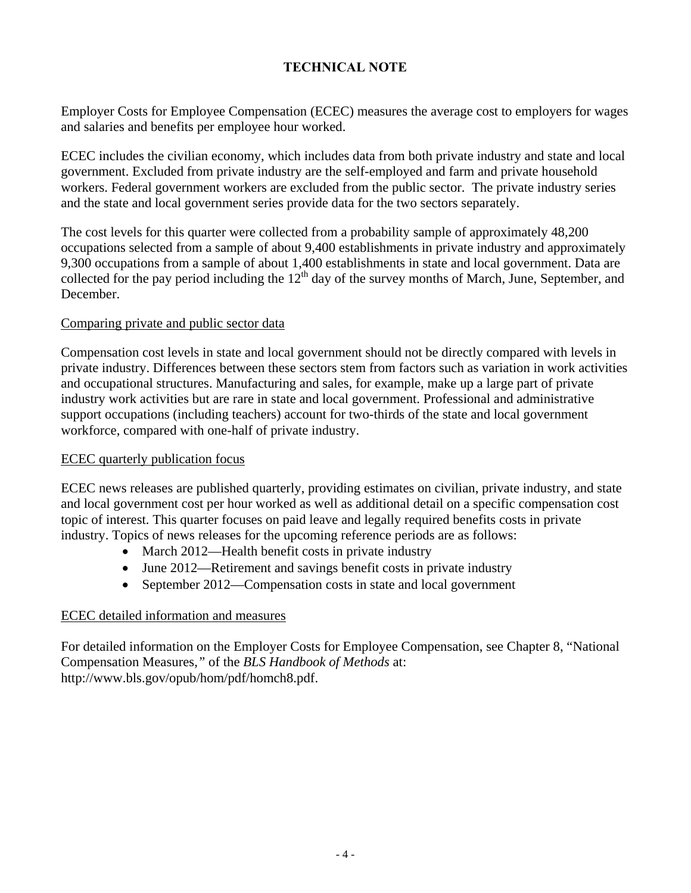# **TECHNICAL NOTE**

Employer Costs for Employee Compensation (ECEC) measures the average cost to employers for wages and salaries and benefits per employee hour worked.

ECEC includes the civilian economy, which includes data from both private industry and state and local government. Excluded from private industry are the self-employed and farm and private household workers. Federal government workers are excluded from the public sector. The private industry series and the state and local government series provide data for the two sectors separately.

The cost levels for this quarter were collected from a probability sample of approximately 48,200 occupations selected from a sample of about 9,400 establishments in private industry and approximately 9,300 occupations from a sample of about 1,400 establishments in state and local government. Data are collected for the pay period including the  $12<sup>th</sup>$  day of the survey months of March, June, September, and December.

### Comparing private and public sector data

Compensation cost levels in state and local government should not be directly compared with levels in private industry. Differences between these sectors stem from factors such as variation in work activities and occupational structures. Manufacturing and sales, for example, make up a large part of private industry work activities but are rare in state and local government. Professional and administrative support occupations (including teachers) account for two-thirds of the state and local government workforce, compared with one-half of private industry.

### ECEC quarterly publication focus

ECEC news releases are published quarterly, providing estimates on civilian, private industry, and state and local government cost per hour worked as well as additional detail on a specific compensation cost topic of interest. This quarter focuses on paid leave and legally required benefits costs in private industry. Topics of news releases for the upcoming reference periods are as follows:

- March 2012—Health benefit costs in private industry
- June 2012—Retirement and savings benefit costs in private industry
- September 2012—Compensation costs in state and local government

### ECEC detailed information and measures

For detailed information on the Employer Costs for Employee Compensation, see Chapter 8, "National Compensation Measures*,"* of the *BLS Handbook of Methods* at: http://www.bls.gov/opub/hom/pdf/homch8.pdf.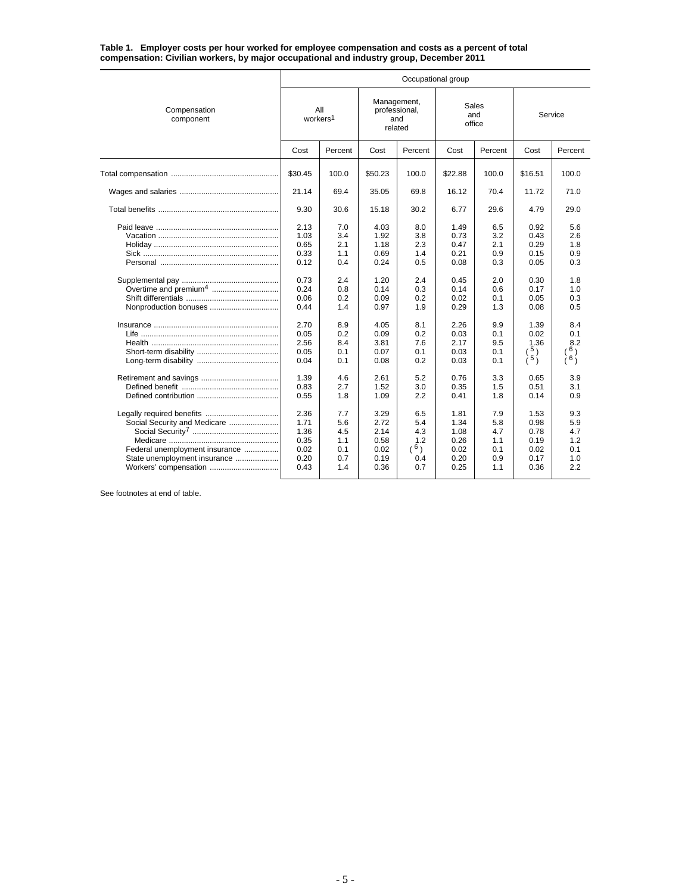**Table 1. Employer costs per hour worked for employee compensation and costs as a percent of total compensation: Civilian workers, by major occupational and industry group, December 2011**

|                                                                                                                                                      | Occupational group                                                                                           |                                                                                                |                                                                                                              |                                                                                                |                                                                                                              |                                                                                                |                                                                                                           |                                                                                                       |  |  |  |  |
|------------------------------------------------------------------------------------------------------------------------------------------------------|--------------------------------------------------------------------------------------------------------------|------------------------------------------------------------------------------------------------|--------------------------------------------------------------------------------------------------------------|------------------------------------------------------------------------------------------------|--------------------------------------------------------------------------------------------------------------|------------------------------------------------------------------------------------------------|-----------------------------------------------------------------------------------------------------------|-------------------------------------------------------------------------------------------------------|--|--|--|--|
| Compensation<br>component                                                                                                                            | All<br>workers <sup>1</sup>                                                                                  |                                                                                                | Management,<br>professional,<br>and<br>related                                                               |                                                                                                | and                                                                                                          | Sales<br>office                                                                                | Service                                                                                                   |                                                                                                       |  |  |  |  |
|                                                                                                                                                      | Cost                                                                                                         | Percent                                                                                        | Cost                                                                                                         | Percent                                                                                        | Cost                                                                                                         | Percent                                                                                        | Cost                                                                                                      | Percent                                                                                               |  |  |  |  |
|                                                                                                                                                      | \$30.45                                                                                                      | 100.0                                                                                          | \$50.23                                                                                                      | 100.0                                                                                          | \$22.88                                                                                                      | 100.0                                                                                          | \$16.51                                                                                                   | 100.0                                                                                                 |  |  |  |  |
|                                                                                                                                                      | 21.14                                                                                                        | 69.4                                                                                           | 35.05                                                                                                        | 69.8                                                                                           | 16.12                                                                                                        | 70.4                                                                                           | 11.72                                                                                                     | 71.0                                                                                                  |  |  |  |  |
|                                                                                                                                                      | 9.30                                                                                                         | 30.6                                                                                           | 15.18                                                                                                        | 30.2                                                                                           | 6.77                                                                                                         | 29.6                                                                                           | 4.79                                                                                                      | 29.0                                                                                                  |  |  |  |  |
| Nonproduction bonuses                                                                                                                                | 2.13<br>1.03<br>0.65<br>0.33<br>0.12<br>0.73<br>0.24<br>0.06<br>0.44<br>2.70<br>0.05<br>2.56<br>0.05<br>0.04 | 7.0<br>3.4<br>2.1<br>1.1<br>0.4<br>2.4<br>0.8<br>0.2<br>1.4<br>8.9<br>0.2<br>8.4<br>0.1<br>0.1 | 4.03<br>1.92<br>1.18<br>0.69<br>0.24<br>1.20<br>0.14<br>0.09<br>0.97<br>4.05<br>0.09<br>3.81<br>0.07<br>0.08 | 8.0<br>3.8<br>2.3<br>1.4<br>0.5<br>2.4<br>0.3<br>0.2<br>1.9<br>8.1<br>0.2<br>7.6<br>0.1<br>0.2 | 1.49<br>0.73<br>0.47<br>0.21<br>0.08<br>0.45<br>0.14<br>0.02<br>0.29<br>2.26<br>0.03<br>2.17<br>0.03<br>0.03 | 6.5<br>3.2<br>2.1<br>0.9<br>0.3<br>2.0<br>0.6<br>0.1<br>1.3<br>9.9<br>0.1<br>9.5<br>0.1<br>0.1 | 0.92<br>0.43<br>0.29<br>0.15<br>0.05<br>0.30<br>0.17<br>0.05<br>0.08<br>1.39<br>0.02<br>1.36<br>5)<br>(5) | 5.6<br>2.6<br>1.8<br>0.9<br>0.3<br>1.8<br>1.0<br>0.3<br>0.5<br>8.4<br>0.1<br>8.2<br>$\delta$ )<br>(6) |  |  |  |  |
|                                                                                                                                                      | 1.39<br>0.83<br>0.55                                                                                         | 4.6<br>2.7<br>1.8                                                                              | 2.61<br>1.52<br>1.09                                                                                         | 5.2<br>3.0<br>2.2                                                                              | 0.76<br>0.35<br>0.41                                                                                         | 3.3<br>1.5<br>1.8                                                                              | 0.65<br>0.51<br>0.14                                                                                      | 3.9<br>3.1<br>0.9                                                                                     |  |  |  |  |
| Legally required benefits<br>Social Security and Medicare<br>Federal unemployment insurance<br>State unemployment insurance<br>Workers' compensation | 2.36<br>1.71<br>1.36<br>0.35<br>0.02<br>0.20<br>0.43                                                         | 7.7<br>5.6<br>4.5<br>1.1<br>0.1<br>0.7<br>1.4                                                  | 3.29<br>2.72<br>2.14<br>0.58<br>0.02<br>0.19<br>0.36                                                         | 6.5<br>5.4<br>4.3<br>1.2<br>(6)<br>0.4<br>0.7                                                  | 1.81<br>1.34<br>1.08<br>0.26<br>0.02<br>0.20<br>0.25                                                         | 7.9<br>5.8<br>4.7<br>1.1<br>0.1<br>0.9<br>1.1                                                  | 1.53<br>0.98<br>0.78<br>0.19<br>0.02<br>0.17<br>0.36                                                      | 9.3<br>5.9<br>4.7<br>1.2<br>0.1<br>1.0<br>2.2                                                         |  |  |  |  |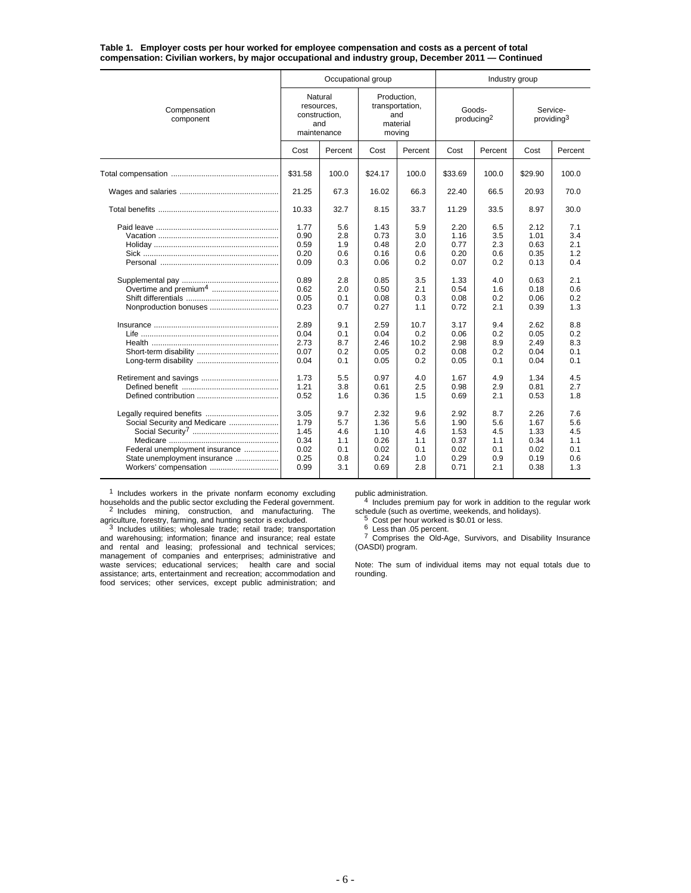**Table 1. Employer costs per hour worked for employee compensation and costs as a percent of total compensation: Civilian workers, by major occupational and industry group, December 2011 — Continued**

|                                                                                                                         |                                                                                                                                      | Occupational group                                                                                                  |                                                                                                                                      |                                                                                                                       | Industry group                                                                                                                       |                                                                                                                     |                                                                                                                                      |                                                                                                                     |  |
|-------------------------------------------------------------------------------------------------------------------------|--------------------------------------------------------------------------------------------------------------------------------------|---------------------------------------------------------------------------------------------------------------------|--------------------------------------------------------------------------------------------------------------------------------------|-----------------------------------------------------------------------------------------------------------------------|--------------------------------------------------------------------------------------------------------------------------------------|---------------------------------------------------------------------------------------------------------------------|--------------------------------------------------------------------------------------------------------------------------------------|---------------------------------------------------------------------------------------------------------------------|--|
| Compensation<br>component                                                                                               | Natural<br>resources,<br>construction,<br>and<br>maintenance                                                                         |                                                                                                                     | Production,<br>transportation,<br>and<br>material<br>moving                                                                          |                                                                                                                       | Goods-<br>producing <sup>2</sup>                                                                                                     |                                                                                                                     | Service-<br>providing <sup>3</sup>                                                                                                   |                                                                                                                     |  |
|                                                                                                                         | Cost                                                                                                                                 | Percent                                                                                                             | Cost                                                                                                                                 | Percent                                                                                                               | Cost                                                                                                                                 | Percent                                                                                                             | Cost                                                                                                                                 | Percent                                                                                                             |  |
|                                                                                                                         | \$31.58                                                                                                                              | 100.0                                                                                                               | \$24.17                                                                                                                              | 100.0                                                                                                                 | \$33.69                                                                                                                              | 100.0                                                                                                               | \$29.90                                                                                                                              | 100.0                                                                                                               |  |
|                                                                                                                         | 21.25                                                                                                                                | 67.3                                                                                                                | 16.02                                                                                                                                | 66.3                                                                                                                  | 22.40                                                                                                                                | 66.5                                                                                                                | 20.93                                                                                                                                | 70.0                                                                                                                |  |
|                                                                                                                         | 10.33                                                                                                                                | 32.7                                                                                                                | 8.15                                                                                                                                 | 33.7                                                                                                                  | 11.29                                                                                                                                | 33.5                                                                                                                | 8.97                                                                                                                                 | 30.0                                                                                                                |  |
| Nonproduction bonuses                                                                                                   | 1.77<br>0.90<br>0.59<br>0.20<br>0.09<br>0.89<br>0.62<br>0.05<br>0.23<br>2.89<br>0.04<br>2.73<br>0.07<br>0.04<br>1.73<br>1.21<br>0.52 | 5.6<br>2.8<br>1.9<br>0.6<br>0.3<br>2.8<br>2.0<br>0.1<br>0.7<br>9.1<br>0.1<br>8.7<br>0.2<br>0.1<br>5.5<br>3.8<br>1.6 | 1.43<br>0.73<br>0.48<br>0.16<br>0.06<br>0.85<br>0.50<br>0.08<br>0.27<br>2.59<br>0.04<br>2.46<br>0.05<br>0.05<br>0.97<br>0.61<br>0.36 | 5.9<br>3.0<br>2.0<br>0.6<br>0.2<br>3.5<br>2.1<br>0.3<br>1.1<br>10.7<br>0.2<br>10.2<br>0.2<br>0.2<br>4.0<br>2.5<br>1.5 | 2.20<br>1.16<br>0.77<br>0.20<br>0.07<br>1.33<br>0.54<br>0.08<br>0.72<br>3.17<br>0.06<br>2.98<br>0.08<br>0.05<br>1.67<br>0.98<br>0.69 | 6.5<br>3.5<br>2.3<br>0.6<br>0.2<br>4.0<br>1.6<br>0.2<br>2.1<br>9.4<br>0.2<br>8.9<br>0.2<br>0.1<br>4.9<br>2.9<br>2.1 | 2.12<br>1.01<br>0.63<br>0.35<br>0.13<br>0.63<br>0.18<br>0.06<br>0.39<br>2.62<br>0.05<br>2.49<br>0.04<br>0.04<br>1.34<br>0.81<br>0.53 | 7.1<br>3.4<br>2.1<br>1.2<br>0.4<br>2.1<br>0.6<br>0.2<br>1.3<br>8.8<br>0.2<br>8.3<br>0.1<br>0.1<br>4.5<br>2.7<br>1.8 |  |
| Social Security and Medicare<br>Federal unemployment insurance<br>State unemployment insurance<br>Workers' compensation | 3.05<br>1.79<br>1.45<br>0.34<br>0.02<br>0.25<br>0.99                                                                                 | 9.7<br>5.7<br>4.6<br>1.1<br>0.1<br>0.8<br>3.1                                                                       | 2.32<br>1.36<br>1.10<br>0.26<br>0.02<br>0.24<br>0.69                                                                                 | 9.6<br>5.6<br>4.6<br>1.1<br>0.1<br>1.0<br>2.8                                                                         | 2.92<br>1.90<br>1.53<br>0.37<br>0.02<br>0.29<br>0.71                                                                                 | 8.7<br>5.6<br>4.5<br>1.1<br>0.1<br>0.9<br>2.1                                                                       | 2.26<br>1.67<br>1.33<br>0.34<br>0.02<br>0.19<br>0.38                                                                                 | 7.6<br>5.6<br>4.5<br>1.1<br>0.1<br>0.6<br>1.3                                                                       |  |

<sup>1</sup> Includes workers in the private nonfarm economy excluding households and the public sector excluding the Federal government. <sup>2</sup> Includes mining, construction, and manufacturing. The

agriculture, forestry, farming, and hunting sector is excluded.<br><sup>3</sup> Includes utilities; wholesale trade; retail trade; transportation and warehousing; information; finance and insurance; real estate and rental and leasing; professional and technical services; management of companies and enterprises; administrative and waste services; educational services; health care and social assistance; arts, entertainment and recreation; accommodation and food services; other services, except public administration; and

public administration.<br><sup>4</sup> Includes premium pay for work in addition to the regular work<br>schedule (such as overtime, weekends, and holidays).

5 Cost per hour worked is \$0.01 or less.<br>
6 Less than .05 percent.<br>
7 Comprises the Old-Age, Survivors, and Disability Insurance (OASDI) program.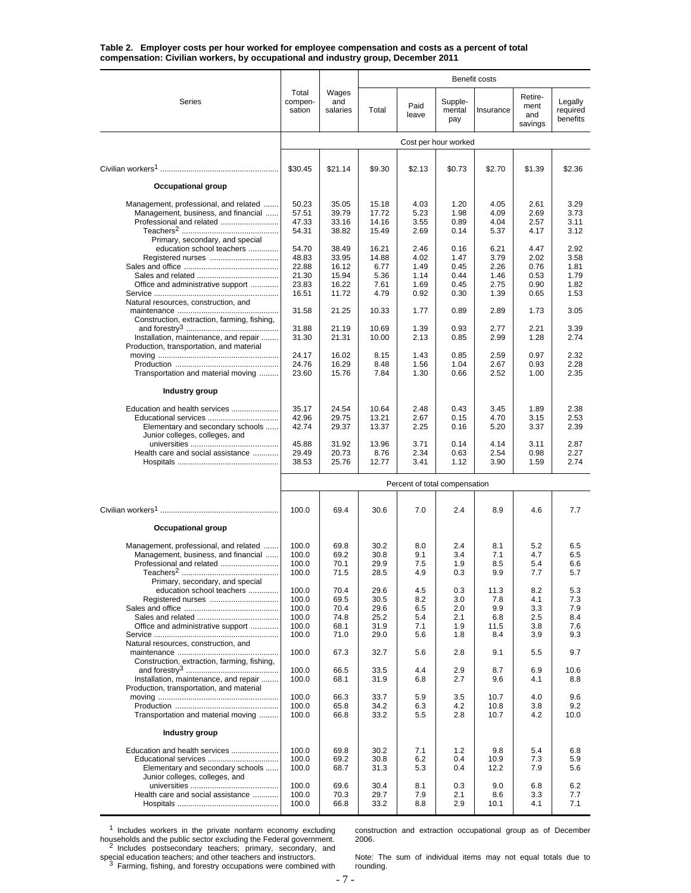**Table 2. Employer costs per hour worked for employee compensation and costs as a percent of total compensation: Civilian workers, by occupational and industry group, December 2011**

|                                                                                                                                                                          |                                                             |                                                             |                                                            |                                                      |                                                      | Benefit costs                                        |                                                      |                                                      |
|--------------------------------------------------------------------------------------------------------------------------------------------------------------------------|-------------------------------------------------------------|-------------------------------------------------------------|------------------------------------------------------------|------------------------------------------------------|------------------------------------------------------|------------------------------------------------------|------------------------------------------------------|------------------------------------------------------|
| Series                                                                                                                                                                   | Total<br>compen-<br>sation                                  | Wages<br>and<br>salaries                                    | Total                                                      | Paid<br>leave                                        | Supple-<br>mental<br>pay                             | Insurance                                            | Retire-<br>ment<br>and<br>savings                    | Legally<br>required<br>benefits                      |
|                                                                                                                                                                          |                                                             |                                                             |                                                            |                                                      | Cost per hour worked                                 |                                                      |                                                      |                                                      |
|                                                                                                                                                                          | \$30.45                                                     | \$21.14                                                     | \$9.30                                                     | \$2.13                                               | \$0.73                                               | \$2.70                                               | \$1.39                                               | \$2.36                                               |
| <b>Occupational group</b>                                                                                                                                                |                                                             |                                                             |                                                            |                                                      |                                                      |                                                      |                                                      |                                                      |
| Management, professional, and related<br>Management, business, and financial<br>Professional and related<br>Primary, secondary, and special<br>education school teachers | 50.23<br>57.51<br>47.33<br>54.31<br>54.70<br>48.83<br>22.88 | 35.05<br>39.79<br>33.16<br>38.82<br>38.49<br>33.95<br>16.12 | 15.18<br>17.72<br>14.16<br>15.49<br>16.21<br>14.88<br>6.77 | 4.03<br>5.23<br>3.55<br>2.69<br>2.46<br>4.02<br>1.49 | 1.20<br>1.98<br>0.89<br>0.14<br>0.16<br>1.47<br>0.45 | 4.05<br>4.09<br>4.04<br>5.37<br>6.21<br>3.79<br>2.26 | 2.61<br>2.69<br>2.57<br>4.17<br>4.47<br>2.02<br>0.76 | 3.29<br>3.73<br>3.11<br>3.12<br>2.92<br>3.58<br>1.81 |
| Office and administrative support                                                                                                                                        | 21.30<br>23.83                                              | 15.94<br>16.22                                              | 5.36<br>7.61                                               | 1.14<br>1.69                                         | 0.44<br>0.45                                         | 1.46<br>2.75                                         | 0.53<br>0.90                                         | 1.79<br>1.82                                         |
| Natural resources, construction, and<br>Construction, extraction, farming, fishing,                                                                                      | 16.51<br>31.58                                              | 11.72<br>21.25                                              | 4.79<br>10.33                                              | 0.92<br>1.77                                         | 0.30<br>0.89                                         | 1.39<br>2.89                                         | 0.65<br>1.73                                         | 1.53<br>3.05                                         |
| Installation, maintenance, and repair<br>Production, transportation, and material                                                                                        | 31.88<br>31.30                                              | 21.19<br>21.31                                              | 10.69<br>10.00                                             | 1.39<br>2.13                                         | 0.93<br>0.85                                         | 2.77<br>2.99                                         | 2.21<br>1.28                                         | 3.39<br>2.74                                         |
|                                                                                                                                                                          | 24.17<br>24.76                                              | 16.02<br>16.29                                              | 8.15<br>8.48                                               | 1.43<br>1.56                                         | 0.85<br>1.04                                         | 2.59<br>2.67                                         | 0.97<br>0.93                                         | 2.32<br>2.28                                         |
| Transportation and material moving                                                                                                                                       | 23.60                                                       | 15.76                                                       | 7.84                                                       | 1.30                                                 | 0.66                                                 | 2.52                                                 | 1.00                                                 | 2.35                                                 |
| Industry group                                                                                                                                                           |                                                             |                                                             |                                                            |                                                      |                                                      |                                                      |                                                      |                                                      |
| Education and health services                                                                                                                                            | 35.17                                                       | 24.54                                                       | 10.64                                                      | 2.48                                                 | 0.43                                                 | 3.45                                                 | 1.89                                                 | 2.38                                                 |
| Educational services<br>Elementary and secondary schools<br>Junior colleges, colleges, and                                                                               | 42.96<br>42.74                                              | 29.75<br>29.37                                              | 13.21<br>13.37                                             | 2.67<br>2.25                                         | 0.15<br>0.16                                         | 4.70<br>5.20                                         | 3.15<br>3.37                                         | 2.53<br>2.39                                         |
| Health care and social assistance                                                                                                                                        | 45.88<br>29.49<br>38.53                                     | 31.92<br>20.73<br>25.76                                     | 13.96<br>8.76<br>12.77                                     | 3.71<br>2.34<br>3.41                                 | 0.14<br>0.63<br>1.12                                 | 4.14<br>2.54<br>3.90                                 | 3.11<br>0.98<br>1.59                                 | 2.87<br>2.27<br>2.74                                 |
|                                                                                                                                                                          |                                                             |                                                             |                                                            |                                                      |                                                      |                                                      |                                                      |                                                      |
|                                                                                                                                                                          |                                                             |                                                             |                                                            | Percent of total compensation                        |                                                      |                                                      |                                                      |                                                      |
|                                                                                                                                                                          | 100.0                                                       | 69.4                                                        | 30.6                                                       | 7.0                                                  | 2.4                                                  | 8.9                                                  | 4.6                                                  | 7.7                                                  |
| Occupational group                                                                                                                                                       |                                                             |                                                             |                                                            |                                                      |                                                      |                                                      |                                                      |                                                      |
| Management, professional, and related<br>Management, business, and financial<br>Professional and related<br>Primary, secondary, and special<br>education school teachers | 100.0<br>100.0<br>100.0<br>100.0<br>100.0                   | 69.8<br>69.2<br>70.1<br>71.5<br>70.4                        | 30.2<br>30.8<br>29.9<br>28.5<br>29.6                       | 8.0<br>9.1<br>7.5<br>4.9<br>4.5                      | 2.4<br>3.4<br>1.9<br>0.3<br>0.3                      | 8.1<br>7.1<br>8.5<br>9.9<br>11.3                     | 5.2<br>4.7<br>5.4<br>7.7<br>8.2                      | 6.5<br>6.5<br>6.6<br>5.7<br>5.3                      |
| Office and administrative support                                                                                                                                        | 100.0<br>100.0<br>100.0<br>100.0<br>100.0                   | 69.5<br>70.4<br>74.8<br>68.1<br>71.0                        | 30.5<br>29.6<br>25.2<br>31.9<br>29.0                       | 8.2<br>6.5<br>5.4<br>7.1<br>5.6                      | 3.0<br>2.0<br>2.1<br>1.9<br>1.8                      | 7.8<br>9.9<br>6.8<br>11.5<br>8.4                     | 4.1<br>3.3<br>2.5<br>3.8<br>3.9                      | 7.3<br>7.9<br>8.4<br>7.6<br>9.3                      |
| Natural resources, construction, and                                                                                                                                     | 100.0                                                       | 67.3                                                        | 32.7                                                       | 5.6                                                  | 2.8                                                  | 9.1                                                  | 5.5                                                  | 9.7                                                  |
| Construction, extraction, farming, fishing,<br>Installation, maintenance, and repair<br>Production, transportation, and material                                         | 100.0<br>100.0                                              | 66.5<br>68.1                                                | 33.5<br>31.9                                               | 4.4<br>6.8                                           | 2.9<br>2.7                                           | 8.7<br>9.6                                           | 6.9<br>4.1                                           | 10.6<br>8.8                                          |
| Transportation and material moving                                                                                                                                       | 100.0<br>100.0<br>100.0                                     | 66.3<br>65.8<br>66.8                                        | 33.7<br>34.2<br>33.2                                       | 5.9<br>6.3<br>5.5                                    | 3.5<br>4.2<br>2.8                                    | 10.7<br>10.8<br>10.7                                 | 4.0<br>3.8<br>4.2                                    | 9.6<br>9.2<br>10.0                                   |
| Industry group                                                                                                                                                           |                                                             |                                                             |                                                            |                                                      |                                                      |                                                      |                                                      |                                                      |
| Education and health services<br>Elementary and secondary schools<br>Junior colleges, colleges, and                                                                      | 100.0<br>100.0<br>100.0                                     | 69.8<br>69.2<br>68.7                                        | 30.2<br>30.8<br>31.3                                       | 7.1<br>6.2<br>5.3                                    | 1.2<br>0.4<br>0.4                                    | 9.8<br>10.9<br>12.2                                  | 5.4<br>7.3<br>7.9                                    | 6.8<br>5.9<br>5.6                                    |
| Health care and social assistance                                                                                                                                        | 100.0<br>100.0<br>100.0                                     | 69.6<br>70.3<br>66.8                                        | 30.4<br>29.7<br>33.2                                       | 8.1<br>7.9<br>8.8                                    | 0.3<br>2.1<br>2.9                                    | 9.0<br>8.6<br>10.1                                   | 6.8<br>3.3<br>4.1                                    | 6.2<br>7.7<br>7.1                                    |

<sup>1</sup> Includes workers in the private nonfarm economy excluding households and the public sector excluding the Federal government. <sup>2</sup> Includes postsecondary teachers; primary, secondary, and

special education teachers; and other teachers and instructors.<br><sup>3</sup> Farming, fishing, and forestry occupations were combined with

construction and extraction occupational group as of December 2006.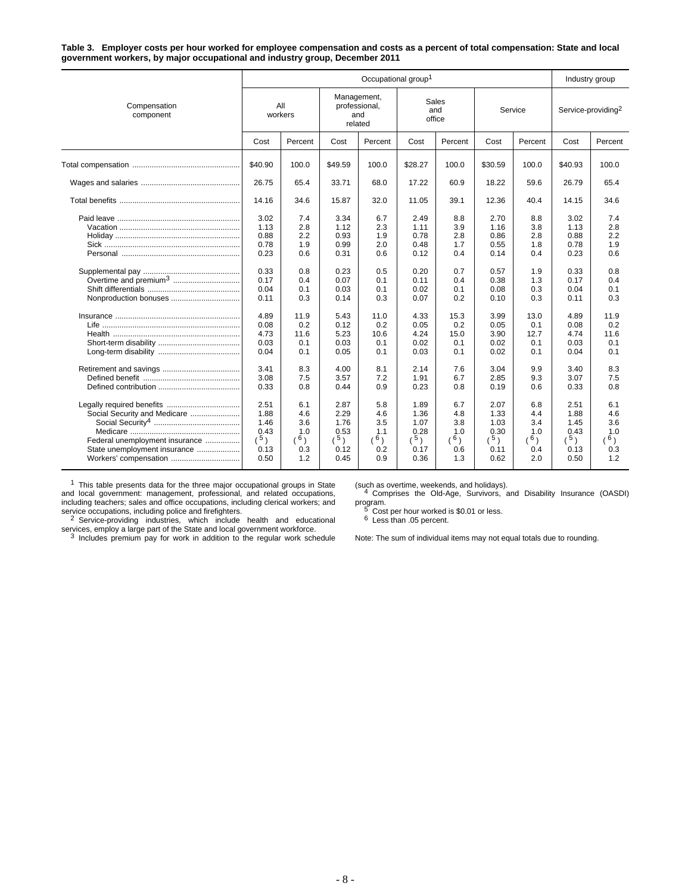**Table 3. Employer costs per hour worked for employee compensation and costs as a percent of total compensation: State and local government workers, by major occupational and industry group, December 2011**

|                                                                                                                         |                                                                                                              |                                                                                                  | Industry group                                                                                                               |                                                                                                  |                                                                                                              |                                                                                                  |                                                                                                              |                                                                                                  |                                                                                                              |                                                                                                  |
|-------------------------------------------------------------------------------------------------------------------------|--------------------------------------------------------------------------------------------------------------|--------------------------------------------------------------------------------------------------|------------------------------------------------------------------------------------------------------------------------------|--------------------------------------------------------------------------------------------------|--------------------------------------------------------------------------------------------------------------|--------------------------------------------------------------------------------------------------|--------------------------------------------------------------------------------------------------------------|--------------------------------------------------------------------------------------------------|--------------------------------------------------------------------------------------------------------------|--------------------------------------------------------------------------------------------------|
| Compensation<br>component                                                                                               |                                                                                                              | All<br>workers                                                                                   |                                                                                                                              | Management,<br>professional,<br>and<br>related                                                   |                                                                                                              | Sales<br>and<br>office                                                                           |                                                                                                              | Service                                                                                          | Service-providing <sup>2</sup>                                                                               |                                                                                                  |
|                                                                                                                         | Cost                                                                                                         | Percent                                                                                          | Cost                                                                                                                         | Percent                                                                                          | Cost                                                                                                         | Percent                                                                                          | Cost                                                                                                         | Percent                                                                                          | Cost                                                                                                         | Percent                                                                                          |
|                                                                                                                         | \$40.90                                                                                                      | 100.0                                                                                            | \$49.59                                                                                                                      | 100.0                                                                                            | \$28.27                                                                                                      | 100.0                                                                                            | \$30.59                                                                                                      | 100.0                                                                                            | \$40.93                                                                                                      | 100.0                                                                                            |
|                                                                                                                         | 26.75                                                                                                        | 65.4                                                                                             | 33.71                                                                                                                        | 68.0                                                                                             | 17.22                                                                                                        | 60.9                                                                                             | 18.22                                                                                                        | 59.6                                                                                             | 26.79                                                                                                        | 65.4                                                                                             |
|                                                                                                                         | 14.16                                                                                                        | 34.6                                                                                             | 15.87                                                                                                                        | 32.0                                                                                             | 11.05                                                                                                        | 39.1                                                                                             | 12.36                                                                                                        | 40.4                                                                                             | 14.15                                                                                                        | 34.6                                                                                             |
| Overtime and premium <sup>3</sup>                                                                                       | 3.02<br>1.13<br>0.88<br>0.78<br>0.23<br>0.33<br>0.17<br>0.04<br>0.11<br>4.89<br>0.08<br>4.73<br>0.03<br>0.04 | 7.4<br>2.8<br>2.2<br>1.9<br>0.6<br>0.8<br>0.4<br>0.1<br>0.3<br>11.9<br>0.2<br>11.6<br>0.1<br>0.1 | 3.34<br>1.12<br>0.93<br>0.99<br>0.31<br>0.23<br>0.07<br>0.03<br>0.14<br>5.43<br>0.12<br>5.23<br>0.03<br>0.05                 | 6.7<br>2.3<br>1.9<br>2.0<br>0.6<br>0.5<br>0.1<br>0.1<br>0.3<br>11.0<br>0.2<br>10.6<br>0.1<br>0.1 | 2.49<br>1.11<br>0.78<br>0.48<br>0.12<br>0.20<br>0.11<br>0.02<br>0.07<br>4.33<br>0.05<br>4.24<br>0.02<br>0.03 | 8.8<br>3.9<br>2.8<br>1.7<br>0.4<br>0.7<br>0.4<br>0.1<br>0.2<br>15.3<br>0.2<br>15.0<br>0.1<br>0.1 | 2.70<br>1.16<br>0.86<br>0.55<br>0.14<br>0.57<br>0.38<br>0.08<br>0.10<br>3.99<br>0.05<br>3.90<br>0.02<br>0.02 | 8.8<br>3.8<br>2.8<br>1.8<br>0.4<br>1.9<br>1.3<br>0.3<br>0.3<br>13.0<br>0.1<br>12.7<br>0.1<br>0.1 | 3.02<br>1.13<br>0.88<br>0.78<br>0.23<br>0.33<br>0.17<br>0.04<br>0.11<br>4.89<br>0.08<br>4.74<br>0.03<br>0.04 | 7.4<br>2.8<br>2.2<br>1.9<br>0.6<br>0.8<br>0.4<br>0.1<br>0.3<br>11.9<br>0.2<br>11.6<br>0.1<br>0.1 |
| Social Security and Medicare<br>Federal unemployment insurance<br>State unemployment insurance<br>Workers' compensation | 3.41<br>3.08<br>0.33<br>2.51<br>1.88<br>1.46<br>0.43<br>(5)<br>0.13<br>0.50                                  | 8.3<br>7.5<br>0.8<br>6.1<br>4.6<br>3.6<br>1.0<br>$(^{6})$<br>0.3<br>1.2                          | 4.00<br>3.57<br>0.44<br>2.87<br>2.29<br>1.76<br>0.53<br>$\left(\begin{smallmatrix}5\end{smallmatrix}\right)$<br>0.12<br>0.45 | 8.1<br>7.2<br>0.9<br>5.8<br>4.6<br>3.5<br>1.1<br>(6)<br>0.2<br>0.9                               | 2.14<br>1.91<br>0.23<br>1.89<br>1.36<br>1.07<br>0.28<br>(5)<br>0.17<br>0.36                                  | 7.6<br>6.7<br>0.8<br>6.7<br>4.8<br>3.8<br>1.0<br>6)<br>0.6<br>1.3                                | 3.04<br>2.85<br>0.19<br>2.07<br>1.33<br>1.03<br>0.30<br>(5)<br>0.11<br>0.62                                  | 9.9<br>9.3<br>0.6<br>6.8<br>4.4<br>3.4<br>1.0<br>6)<br>0.4<br>2.0                                | 3.40<br>3.07<br>0.33<br>2.51<br>1.88<br>1.45<br>0.43<br>(5)<br>0.13<br>0.50                                  | 8.3<br>7.5<br>0.8<br>6.1<br>4.6<br>3.6<br>1.0<br>(6)<br>0.3<br>1.2                               |

 $1$  This table presents data for the three major occupational groups in State and local government: management, professional, and related occupations, including teachers; sales and office occupations, including clerical workers; and

service occupations, including police and firefighters.<br><sup>2</sup> Service-providing industries, which include health and educational

services, employ a large part of the State and local government workforce.<br><sup>3</sup> Includes premium pay for work in addition to the regular work schedule

(such as overtime, weekends, and holidays). <sup>4</sup> Comprises the Old-Age, Survivors, and Disability Insurance (OASDI) program.<br>
<sup>5</sup> Cost per hour worked is \$0.01 or less.<br>
<sup>6</sup> Less than .05 percent.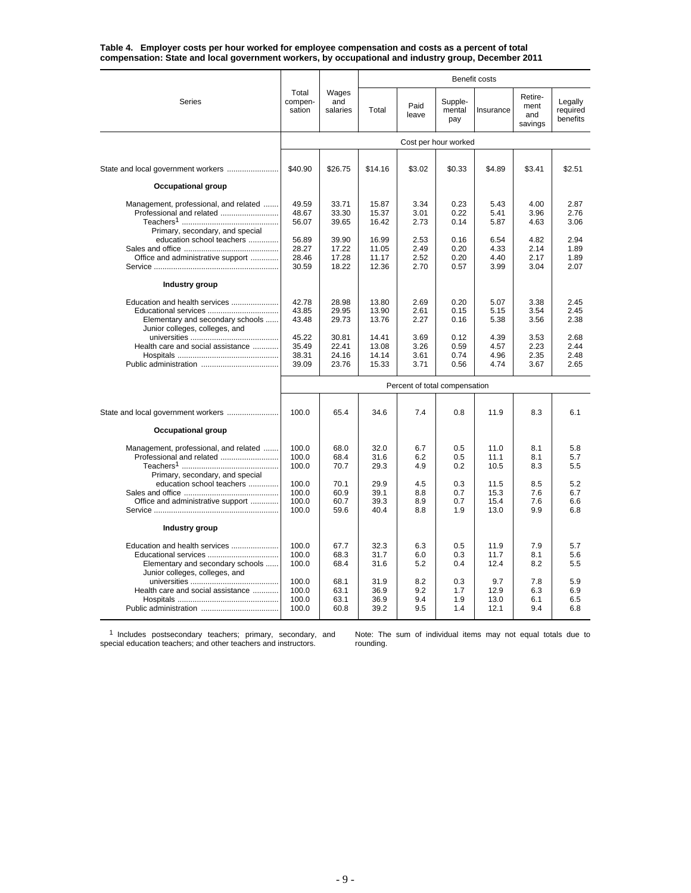| Table 4.   Employer costs per hour worked for employee compensation and costs as a percent of total |  |
|-----------------------------------------------------------------------------------------------------|--|
| compensation: State and local government workers, by occupational and industry group, December 2011 |  |

|                                                                                                                                   |                                  |                                  |                                  |                               |                              | Benefit costs                |                                   |                                 |
|-----------------------------------------------------------------------------------------------------------------------------------|----------------------------------|----------------------------------|----------------------------------|-------------------------------|------------------------------|------------------------------|-----------------------------------|---------------------------------|
| Series                                                                                                                            | Total<br>compen-<br>sation       | Wages<br>and<br>salaries         | Total                            | Paid<br>leave                 | Supple-<br>mental<br>pay     | Insurance                    | Retire-<br>ment<br>and<br>savings | Legally<br>required<br>benefits |
|                                                                                                                                   |                                  |                                  |                                  |                               | Cost per hour worked         |                              |                                   |                                 |
| State and local government workers                                                                                                | \$40.90                          | \$26.75                          | \$14.16                          | \$3.02                        | \$0.33                       | \$4.89                       | \$3.41                            | \$2.51                          |
| <b>Occupational group</b>                                                                                                         |                                  |                                  |                                  |                               |                              |                              |                                   |                                 |
| Management, professional, and related<br>Professional and related<br>Primary, secondary, and special<br>education school teachers | 49.59<br>48.67<br>56.07<br>56.89 | 33.71<br>33.30<br>39.65<br>39.90 | 15.87<br>15.37<br>16.42<br>16.99 | 3.34<br>3.01<br>2.73<br>2.53  | 0.23<br>0.22<br>0.14<br>0.16 | 5.43<br>5.41<br>5.87<br>6.54 | 4.00<br>3.96<br>4.63<br>4.82      | 2.87<br>2.76<br>3.06<br>2.94    |
| Office and administrative support                                                                                                 | 28.27<br>28.46<br>30.59          | 17.22<br>17.28<br>18.22          | 11.05<br>11.17<br>12.36          | 2.49<br>2.52<br>2.70          | 0.20<br>0.20<br>0.57         | 4.33<br>4.40<br>3.99         | 2.14<br>2.17<br>3.04              | 1.89<br>1.89<br>2.07            |
| Industry group                                                                                                                    |                                  |                                  |                                  |                               |                              |                              |                                   |                                 |
| Education and health services<br>Educational services<br>Elementary and secondary schools<br>Junior colleges, colleges, and       | 42.78<br>43.85<br>43.48          | 28.98<br>29.95<br>29.73          | 13.80<br>13.90<br>13.76          | 2.69<br>2.61<br>2.27          | 0.20<br>0.15<br>0.16         | 5.07<br>5.15<br>5.38         | 3.38<br>3.54<br>3.56              | 2.45<br>2.45<br>2.38            |
| Health care and social assistance                                                                                                 | 45.22<br>35.49<br>38.31<br>39.09 | 30.81<br>22.41<br>24.16<br>23.76 | 14.41<br>13.08<br>14.14<br>15.33 | 3.69<br>3.26<br>3.61<br>3.71  | 0.12<br>0.59<br>0.74<br>0.56 | 4.39<br>4.57<br>4.96<br>4.74 | 3.53<br>2.23<br>2.35<br>3.67      | 2.68<br>2.44<br>2.48<br>2.65    |
|                                                                                                                                   |                                  |                                  |                                  | Percent of total compensation |                              |                              |                                   |                                 |
|                                                                                                                                   | 100.0                            | 65.4                             | 34.6                             | 7.4                           | 0.8                          | 11.9                         | 8.3                               | 6.1                             |
| Occupational group                                                                                                                |                                  |                                  |                                  |                               |                              |                              |                                   |                                 |
| Management, professional, and related<br>Professional and related<br>Primary, secondary, and special                              | 100.0<br>100.0<br>100.0          | 68.0<br>68.4<br>70.7             | 32.0<br>31.6<br>29.3             | 6.7<br>6.2<br>4.9             | 0.5<br>0.5<br>0.2            | 11.0<br>11.1<br>10.5         | 8.1<br>8.1<br>8.3                 | 5.8<br>5.7<br>5.5               |
| education school teachers<br>Office and administrative support                                                                    | 100.0<br>100.0<br>100.0<br>100.0 | 70.1<br>60.9<br>60.7<br>59.6     | 29.9<br>39.1<br>39.3<br>40.4     | 4.5<br>8.8<br>8.9<br>8.8      | 0.3<br>0.7<br>0.7<br>1.9     | 11.5<br>15.3<br>15.4<br>13.0 | 8.5<br>7.6<br>7.6<br>9.9          | 5.2<br>6.7<br>6.6<br>6.8        |
| Industry group                                                                                                                    |                                  |                                  |                                  |                               |                              |                              |                                   |                                 |
| Education and health services<br>Educational services<br>Elementary and secondary schools<br>Junior colleges, colleges, and       | 100.0<br>100.0<br>100.0          | 67.7<br>68.3<br>68.4             | 32.3<br>31.7<br>31.6             | 6.3<br>6.0<br>5.2             | 0.5<br>0.3<br>0.4            | 11.9<br>11.7<br>12.4         | 7.9<br>8.1<br>8.2                 | 5.7<br>5.6<br>5.5               |
| Health care and social assistance                                                                                                 | 100.0<br>100.0<br>100.0<br>100.0 | 68.1<br>63.1<br>63.1<br>60.8     | 31.9<br>36.9<br>36.9<br>39.2     | 8.2<br>9.2<br>9.4<br>9.5      | 0.3<br>1.7<br>1.9<br>1.4     | 9.7<br>12.9<br>13.0<br>12.1  | 7.8<br>6.3<br>6.1<br>9.4          | 5.9<br>6.9<br>6.5<br>6.8        |
|                                                                                                                                   |                                  |                                  |                                  |                               |                              |                              |                                   |                                 |

<sup>1</sup> Includes postsecondary teachers; primary, secondary, and special education teachers; and other teachers and instructors.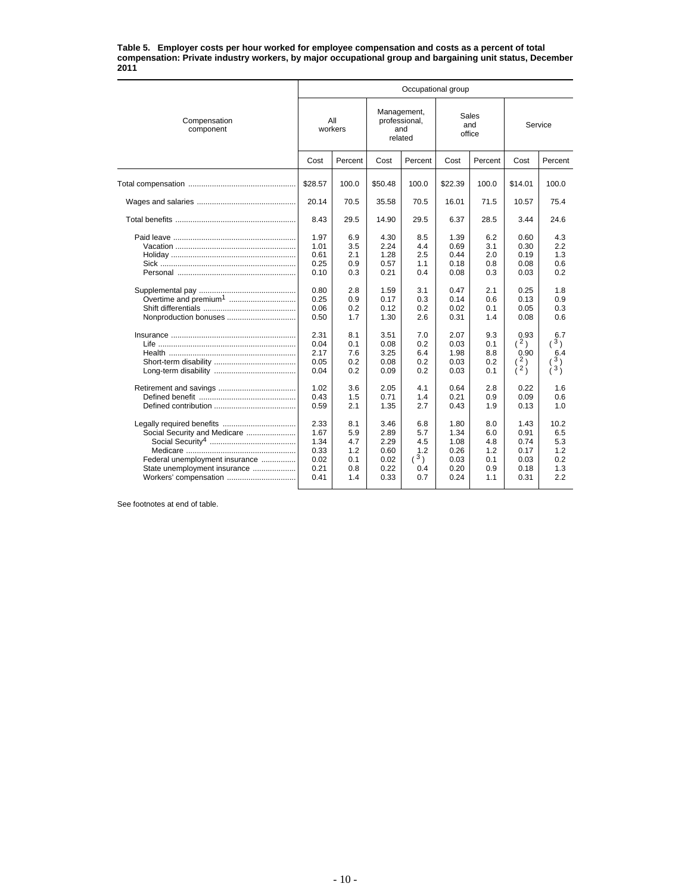#### **Table 5. Employer costs per hour worked for employee compensation and costs as a percent of total compensation: Private industry workers, by major occupational group and bargaining unit status, December 2011**

|                                                                                                                                                      | Occupational group                                                                                           |                                                                                                |                                                                                                              |                                                                                                |                                                                                                              |                                                                                                |                                                                                                                   |                                                                                                                 |  |  |  |  |
|------------------------------------------------------------------------------------------------------------------------------------------------------|--------------------------------------------------------------------------------------------------------------|------------------------------------------------------------------------------------------------|--------------------------------------------------------------------------------------------------------------|------------------------------------------------------------------------------------------------|--------------------------------------------------------------------------------------------------------------|------------------------------------------------------------------------------------------------|-------------------------------------------------------------------------------------------------------------------|-----------------------------------------------------------------------------------------------------------------|--|--|--|--|
| Compensation<br>component                                                                                                                            | All<br>workers                                                                                               |                                                                                                | Management,<br>professional,<br>and<br>related                                                               |                                                                                                | office                                                                                                       | Sales<br>and                                                                                   | Service                                                                                                           |                                                                                                                 |  |  |  |  |
|                                                                                                                                                      | Cost                                                                                                         | Percent                                                                                        | Cost                                                                                                         | Percent                                                                                        | Cost                                                                                                         | Percent                                                                                        | Cost                                                                                                              | Percent                                                                                                         |  |  |  |  |
|                                                                                                                                                      | \$28.57                                                                                                      | 100.0                                                                                          | \$50.48                                                                                                      | 100.0                                                                                          | \$22.39                                                                                                      | 100.0                                                                                          | \$14.01                                                                                                           | 100.0                                                                                                           |  |  |  |  |
|                                                                                                                                                      | 20.14                                                                                                        | 70.5                                                                                           | 35.58                                                                                                        | 70.5                                                                                           | 16.01                                                                                                        | 71.5                                                                                           | 10.57                                                                                                             | 75.4                                                                                                            |  |  |  |  |
|                                                                                                                                                      | 8.43                                                                                                         | 29.5                                                                                           | 14.90                                                                                                        | 29.5                                                                                           | 6.37                                                                                                         | 28.5                                                                                           | 3.44                                                                                                              | 24.6                                                                                                            |  |  |  |  |
| Nonproduction bonuses                                                                                                                                | 1.97<br>1.01<br>0.61<br>0.25<br>0.10<br>0.80<br>0.25<br>0.06<br>0.50<br>2.31<br>0.04<br>2.17<br>0.05<br>0.04 | 6.9<br>3.5<br>2.1<br>0.9<br>0.3<br>2.8<br>0.9<br>0.2<br>1.7<br>8.1<br>0.1<br>7.6<br>0.2<br>0.2 | 4.30<br>2.24<br>1.28<br>0.57<br>0.21<br>1.59<br>0.17<br>0.12<br>1.30<br>3.51<br>0.08<br>3.25<br>0.08<br>0.09 | 8.5<br>4.4<br>2.5<br>1.1<br>0.4<br>3.1<br>0.3<br>0.2<br>2.6<br>7.0<br>0.2<br>6.4<br>0.2<br>0.2 | 1.39<br>0.69<br>0.44<br>0.18<br>0.08<br>0.47<br>0.14<br>0.02<br>0.31<br>2.07<br>0.03<br>1.98<br>0.03<br>0.03 | 6.2<br>3.1<br>2.0<br>0.8<br>0.3<br>2.1<br>0.6<br>0.1<br>1.4<br>9.3<br>0.1<br>8.8<br>0.2<br>0.1 | 0.60<br>0.30<br>0.19<br>0.08<br>0.03<br>0.25<br>0.13<br>0.05<br>0.08<br>0.93<br>(2)<br>0.90<br>(2)<br>$\lambda^2$ | 4.3<br>2.2<br>1.3<br>0.6<br>0.2<br>1.8<br>0.9<br>0.3<br>0.6<br>6.7<br>(3)<br>6.4<br>3)<br>$\lambda$ 3 $\lambda$ |  |  |  |  |
|                                                                                                                                                      | 1.02<br>0.43<br>0.59                                                                                         | 3.6<br>1.5<br>2.1                                                                              | 2.05<br>0.71<br>1.35                                                                                         | 4.1<br>1.4<br>2.7                                                                              | 0.64<br>0.21<br>0.43                                                                                         | 2.8<br>0.9<br>1.9                                                                              | 0.22<br>0.09<br>0.13                                                                                              | 1.6<br>0.6<br>1.0                                                                                               |  |  |  |  |
| Legally required benefits<br>Social Security and Medicare<br>Federal unemployment insurance<br>State unemployment insurance<br>Workers' compensation | 2.33<br>1.67<br>1.34<br>0.33<br>0.02<br>0.21<br>0.41                                                         | 8.1<br>5.9<br>4.7<br>1.2<br>0.1<br>0.8<br>1.4                                                  | 3.46<br>2.89<br>2.29<br>0.60<br>0.02<br>0.22<br>0.33                                                         | 6.8<br>5.7<br>4.5<br>1.2<br>(3)<br>0.4<br>0.7                                                  | 1.80<br>1.34<br>1.08<br>0.26<br>0.03<br>0.20<br>0.24                                                         | 8.0<br>6.0<br>4.8<br>1.2<br>0.1<br>0.9<br>1.1                                                  | 1.43<br>0.91<br>0.74<br>0.17<br>0.03<br>0.18<br>0.31                                                              | 10.2<br>6.5<br>5.3<br>1.2<br>0.2<br>1.3<br>2.2                                                                  |  |  |  |  |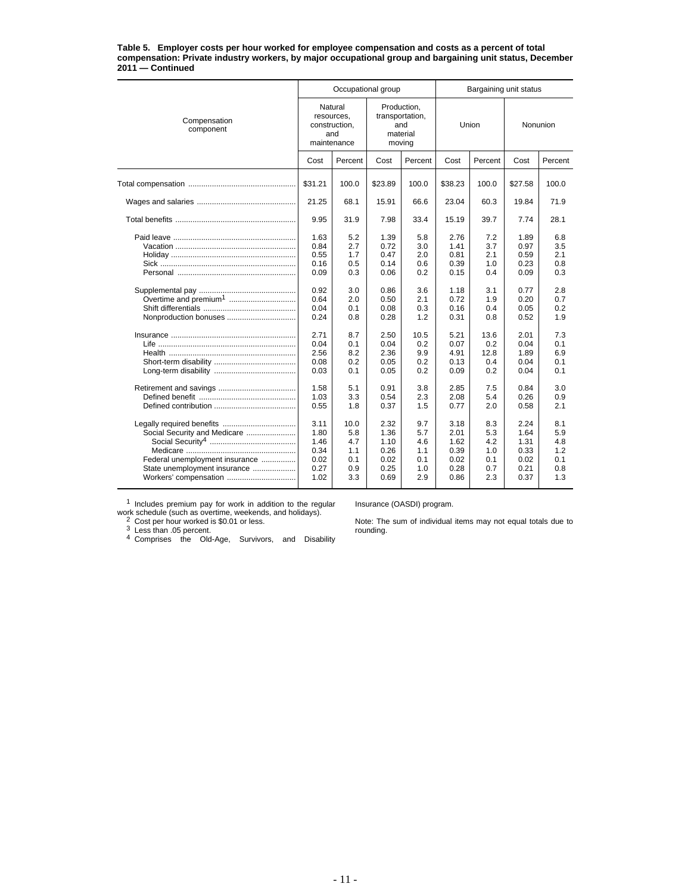#### **Table 5. Employer costs per hour worked for employee compensation and costs as a percent of total compensation: Private industry workers, by major occupational group and bargaining unit status, December 2011 — Continued**

|                                                                                                                         |                                                              | Occupational group                             |                                                      |                                               | Bargaining unit status                               |                                               |                                                      |                                               |  |
|-------------------------------------------------------------------------------------------------------------------------|--------------------------------------------------------------|------------------------------------------------|------------------------------------------------------|-----------------------------------------------|------------------------------------------------------|-----------------------------------------------|------------------------------------------------------|-----------------------------------------------|--|
| Compensation<br>component                                                                                               | Natural<br>resources,<br>construction,<br>and<br>maintenance |                                                | Production,                                          | transportation,<br>and<br>material<br>moving  |                                                      | Union                                         | Nonunion                                             |                                               |  |
|                                                                                                                         | Cost                                                         | Percent                                        | Cost                                                 | Percent                                       | Cost                                                 | Percent                                       | Cost                                                 | Percent                                       |  |
|                                                                                                                         | \$31.21                                                      | 100.0                                          | \$23.89                                              | 100.0                                         | \$38.23                                              | 100.0                                         | \$27.58                                              | 100.0                                         |  |
|                                                                                                                         | 21.25                                                        | 68.1                                           | 15.91                                                | 66.6                                          | 23.04                                                | 60.3                                          | 19.84                                                | 71.9                                          |  |
|                                                                                                                         | 9.95                                                         | 31.9                                           | 7.98                                                 | 33.4                                          | 15.19                                                | 39.7                                          | 7.74                                                 | 28.1                                          |  |
|                                                                                                                         | 1.63<br>0.84<br>0.55<br>0.16<br>0.09                         | 5.2<br>2.7<br>1.7<br>0.5<br>0.3                | 1.39<br>0.72<br>0.47<br>0.14<br>0.06                 | 5.8<br>3.0<br>2.0<br>0.6<br>0.2               | 2.76<br>1.41<br>0.81<br>0.39<br>0.15                 | 7.2<br>3.7<br>2.1<br>1.0<br>0.4               | 1.89<br>0.97<br>0.59<br>0.23<br>0.09                 | 6.8<br>3.5<br>2.1<br>0.8<br>0.3               |  |
| Nonproduction bonuses                                                                                                   | 0.92<br>0.64<br>0.04<br>0.24                                 | 3.0<br>2.0<br>0.1<br>0.8                       | 0.86<br>0.50<br>0.08<br>0.28                         | 3.6<br>2.1<br>0.3<br>1.2                      | 1.18<br>0.72<br>0.16<br>0.31                         | 3.1<br>1.9<br>0.4<br>0.8                      | 0.77<br>0.20<br>0.05<br>0.52                         | 2.8<br>0.7<br>0.2<br>1.9                      |  |
|                                                                                                                         | 2.71<br>0.04<br>2.56<br>0.08<br>0.03                         | 8.7<br>0.1<br>8.2<br>0.2<br>0.1                | 2.50<br>0.04<br>2.36<br>0.05<br>0.05                 | 10.5<br>0.2<br>9.9<br>0.2<br>0.2              | 5.21<br>0.07<br>4.91<br>0.13<br>0.09                 | 13.6<br>0.2<br>12.8<br>0.4<br>0.2             | 2.01<br>0.04<br>1.89<br>0.04<br>0.04                 | 7.3<br>0.1<br>6.9<br>0.1<br>0.1               |  |
|                                                                                                                         | 1.58<br>1.03<br>0.55                                         | 5.1<br>3.3<br>1.8                              | 0.91<br>0.54<br>0.37                                 | 3.8<br>2.3<br>1.5                             | 2.85<br>2.08<br>0.77                                 | 7.5<br>5.4<br>2.0                             | 0.84<br>0.26<br>0.58                                 | 3.0<br>0.9<br>2.1                             |  |
| Social Security and Medicare<br>Federal unemployment insurance<br>State unemployment insurance<br>Workers' compensation | 3.11<br>1.80<br>1.46<br>0.34<br>0.02<br>0.27<br>1.02         | 10.0<br>5.8<br>4.7<br>1.1<br>0.1<br>0.9<br>3.3 | 2.32<br>1.36<br>1.10<br>0.26<br>0.02<br>0.25<br>0.69 | 9.7<br>5.7<br>4.6<br>1.1<br>0.1<br>1.0<br>2.9 | 3.18<br>2.01<br>1.62<br>0.39<br>0.02<br>0.28<br>0.86 | 8.3<br>5.3<br>4.2<br>1.0<br>0.1<br>0.7<br>2.3 | 2.24<br>1.64<br>1.31<br>0.33<br>0.02<br>0.21<br>0.37 | 8.1<br>5.9<br>4.8<br>1.2<br>0.1<br>0.8<br>1.3 |  |

 $1$  Includes premium pay for work in addition to the regular

Insurance (OASDI) program.

work schedule (such as overtime, weekends, and holidays).<br><sup>2</sup> Cost per hour worked is \$0.01 or less.<br><sup>3</sup> Less than .05 percent.<br><sup>4</sup> Comprises the Old-Age, Survivors, and Disability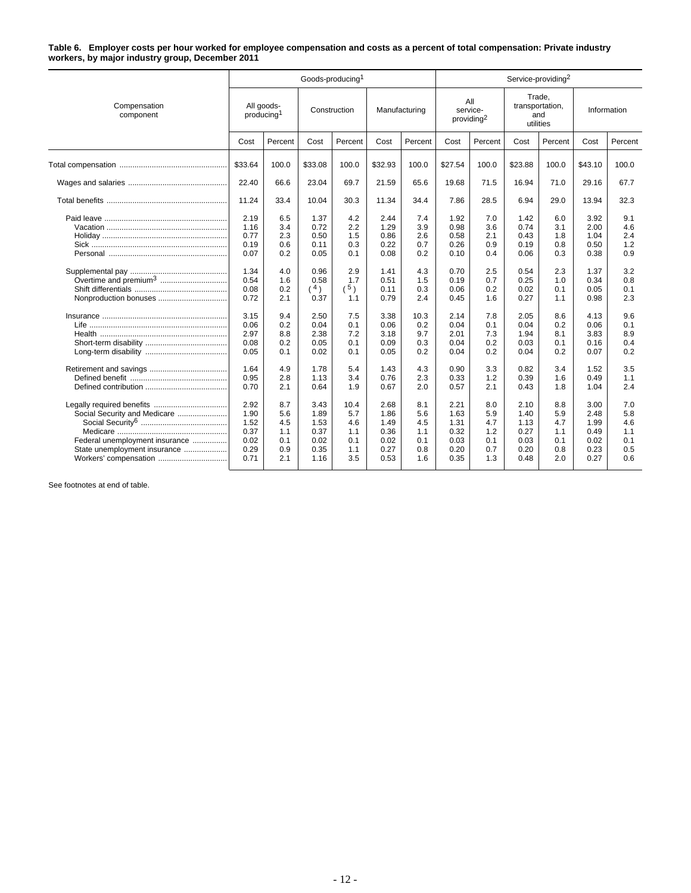#### **Table 6. Employer costs per hour worked for employee compensation and costs as a percent of total compensation: Private industry workers, by major industry group, December 2011**

|                                                                                                |                                                                                                      |                                                                                         |                                                                                                     | Goods-producing <sup>1</sup>                                                            |                                                                                                      |                                                                                          |                                                                                                      |                                                                                         |                                                                                                      | Service-providing <sup>2</sup>                                                          |                                                                                                      |                                                                                         |
|------------------------------------------------------------------------------------------------|------------------------------------------------------------------------------------------------------|-----------------------------------------------------------------------------------------|-----------------------------------------------------------------------------------------------------|-----------------------------------------------------------------------------------------|------------------------------------------------------------------------------------------------------|------------------------------------------------------------------------------------------|------------------------------------------------------------------------------------------------------|-----------------------------------------------------------------------------------------|------------------------------------------------------------------------------------------------------|-----------------------------------------------------------------------------------------|------------------------------------------------------------------------------------------------------|-----------------------------------------------------------------------------------------|
| Compensation<br>component                                                                      | All goods-<br>producing <sup>1</sup>                                                                 |                                                                                         | Construction                                                                                        |                                                                                         | Manufacturing                                                                                        |                                                                                          | All<br>service-<br>providing <sup>2</sup>                                                            |                                                                                         | Trade,<br>transportation,<br>and<br>utilities                                                        |                                                                                         |                                                                                                      | Information                                                                             |
|                                                                                                | Cost                                                                                                 | Percent                                                                                 | Cost                                                                                                | Percent                                                                                 | Cost                                                                                                 | Percent                                                                                  | Cost                                                                                                 | Percent                                                                                 | Cost                                                                                                 | Percent                                                                                 | Cost                                                                                                 | Percent                                                                                 |
|                                                                                                | \$33.64                                                                                              | 100.0                                                                                   | \$33.08                                                                                             | 100.0                                                                                   | \$32.93                                                                                              | 100.0                                                                                    | \$27.54                                                                                              | 100.0                                                                                   | \$23.88                                                                                              | 100.0                                                                                   | \$43.10                                                                                              | 100.0                                                                                   |
|                                                                                                | 22.40                                                                                                | 66.6                                                                                    | 23.04                                                                                               | 69.7                                                                                    | 21.59                                                                                                | 65.6                                                                                     | 19.68                                                                                                | 71.5                                                                                    | 16.94                                                                                                | 71.0                                                                                    | 29.16                                                                                                | 67.7                                                                                    |
|                                                                                                | 11.24                                                                                                | 33.4                                                                                    | 10.04                                                                                               | 30.3                                                                                    | 11.34                                                                                                | 34.4                                                                                     | 7.86                                                                                                 | 28.5                                                                                    | 6.94                                                                                                 | 29.0                                                                                    | 13.94                                                                                                | 32.3                                                                                    |
| Nonproduction bonuses                                                                          | 2.19<br>1.16<br>0.77<br>0.19<br>0.07<br>1.34<br>0.54<br>0.08<br>0.72<br>3.15<br>0.06<br>2.97<br>0.08 | 6.5<br>3.4<br>2.3<br>0.6<br>0.2<br>4.0<br>1.6<br>0.2<br>2.1<br>9.4<br>0.2<br>8.8<br>0.2 | 1.37<br>0.72<br>0.50<br>0.11<br>0.05<br>0.96<br>0.58<br>(4)<br>0.37<br>2.50<br>0.04<br>2.38<br>0.05 | 4.2<br>2.2<br>1.5<br>0.3<br>0.1<br>2.9<br>1.7<br>(5)<br>1.1<br>7.5<br>0.1<br>7.2<br>0.1 | 2.44<br>1.29<br>0.86<br>0.22<br>0.08<br>1.41<br>0.51<br>0.11<br>0.79<br>3.38<br>0.06<br>3.18<br>0.09 | 7.4<br>3.9<br>2.6<br>0.7<br>0.2<br>4.3<br>1.5<br>0.3<br>2.4<br>10.3<br>0.2<br>9.7<br>0.3 | 1.92<br>0.98<br>0.58<br>0.26<br>0.10<br>0.70<br>0.19<br>0.06<br>0.45<br>2.14<br>0.04<br>2.01<br>0.04 | 7.0<br>3.6<br>2.1<br>0.9<br>0.4<br>2.5<br>0.7<br>0.2<br>1.6<br>7.8<br>0.1<br>7.3<br>0.2 | 1.42<br>0.74<br>0.43<br>0.19<br>0.06<br>0.54<br>0.25<br>0.02<br>0.27<br>2.05<br>0.04<br>1.94<br>0.03 | 6.0<br>3.1<br>1.8<br>0.8<br>0.3<br>2.3<br>1.0<br>0.1<br>1.1<br>8.6<br>0.2<br>8.1<br>0.1 | 3.92<br>2.00<br>1.04<br>0.50<br>0.38<br>1.37<br>0.34<br>0.05<br>0.98<br>4.13<br>0.06<br>3.83<br>0.16 | 9.1<br>4.6<br>2.4<br>1.2<br>0.9<br>3.2<br>0.8<br>0.1<br>2.3<br>9.6<br>0.1<br>8.9<br>0.4 |
|                                                                                                | 0.05<br>1.64<br>0.95<br>0.70                                                                         | 0.1<br>4.9<br>2.8<br>2.1                                                                | 0.02<br>1.78<br>1.13<br>0.64                                                                        | 0.1<br>5.4<br>3.4<br>1.9                                                                | 0.05<br>1.43<br>0.76<br>0.67                                                                         | 0.2<br>4.3<br>2.3<br>2.0                                                                 | 0.04<br>0.90<br>0.33<br>0.57                                                                         | 0.2<br>3.3<br>1.2<br>2.1                                                                | 0.04<br>0.82<br>0.39<br>0.43                                                                         | 0.2<br>3.4<br>1.6<br>1.8                                                                | 0.07<br>1.52<br>0.49<br>1.04                                                                         | 0.2<br>3.5<br>1.1<br>2.4                                                                |
| Social Security and Medicare<br>Federal unemployment insurance<br>State unemployment insurance | 2.92<br>1.90<br>1.52<br>0.37<br>0.02<br>0.29<br>0.71                                                 | 8.7<br>5.6<br>4.5<br>1.1<br>0.1<br>0.9<br>2.1                                           | 3.43<br>1.89<br>1.53<br>0.37<br>0.02<br>0.35<br>1.16                                                | 10.4<br>5.7<br>4.6<br>1.1<br>0.1<br>1.1<br>3.5                                          | 2.68<br>1.86<br>1.49<br>0.36<br>0.02<br>0.27<br>0.53                                                 | 8.1<br>5.6<br>4.5<br>1.1<br>0.1<br>0.8<br>1.6                                            | 2.21<br>1.63<br>1.31<br>0.32<br>0.03<br>0.20<br>0.35                                                 | 8.0<br>5.9<br>4.7<br>1.2<br>0.1<br>0.7<br>1.3                                           | 2.10<br>1.40<br>1.13<br>0.27<br>0.03<br>0.20<br>0.48                                                 | 8.8<br>5.9<br>4.7<br>1.1<br>0.1<br>0.8<br>2.0                                           | 3.00<br>2.48<br>1.99<br>0.49<br>0.02<br>0.23<br>0.27                                                 | 7.0<br>5.8<br>4.6<br>1.1<br>0.1<br>0.5<br>0.6                                           |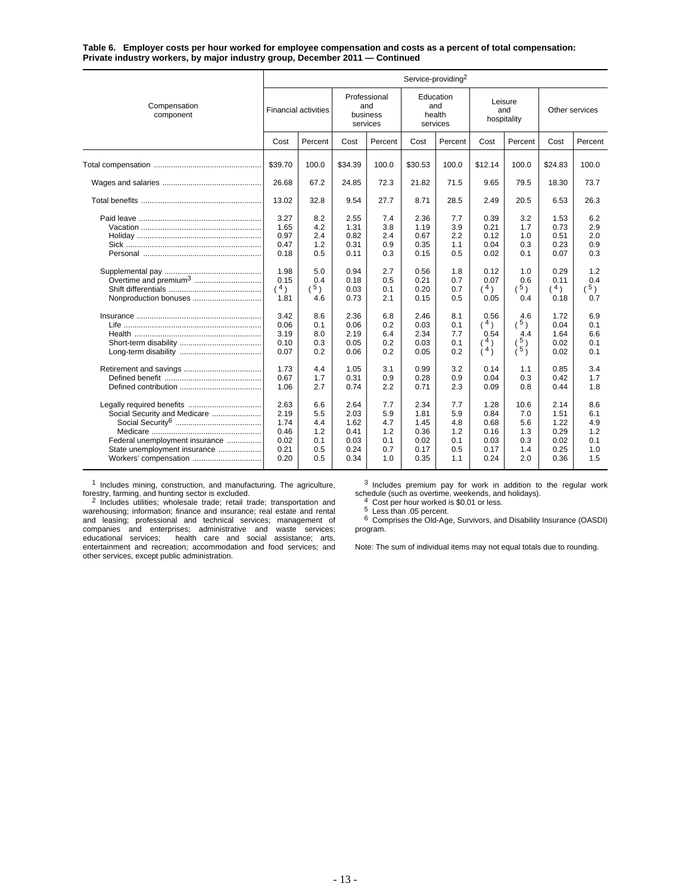**Table 6. Employer costs per hour worked for employee compensation and costs as a percent of total compensation: Private industry workers, by major industry group, December 2011 — Continued**

|                                                                                                                         | Service-providing <sup>2</sup>                       |                                               |                                                      |                                               |                                                      |                                               |                                                      |                                                   |                                                      |                                               |
|-------------------------------------------------------------------------------------------------------------------------|------------------------------------------------------|-----------------------------------------------|------------------------------------------------------|-----------------------------------------------|------------------------------------------------------|-----------------------------------------------|------------------------------------------------------|---------------------------------------------------|------------------------------------------------------|-----------------------------------------------|
| Compensation<br>component                                                                                               | <b>Financial activities</b>                          |                                               | Professional<br>and<br>business<br>services          |                                               | Education<br>and<br>health<br>services               |                                               | Leisure<br>and<br>hospitality                        |                                                   | Other services                                       |                                               |
|                                                                                                                         | Cost                                                 | Percent                                       | Cost                                                 | Percent                                       | Cost                                                 | Percent                                       | Cost                                                 | Percent                                           | Cost                                                 | Percent                                       |
|                                                                                                                         | \$39.70                                              | 100.0                                         | \$34.39                                              | 100.0                                         | \$30.53                                              | 100.0                                         | \$12.14                                              | 100.0                                             | \$24.83                                              | 100.0                                         |
|                                                                                                                         | 26.68                                                | 67.2                                          | 24.85                                                | 72.3                                          | 21.82                                                | 71.5                                          | 9.65                                                 | 79.5                                              | 18.30                                                | 73.7                                          |
|                                                                                                                         | 13.02                                                | 32.8                                          | 9.54                                                 | 27.7                                          | 8.71                                                 | 28.5                                          | 2.49                                                 | 20.5                                              | 6.53                                                 | 26.3                                          |
|                                                                                                                         | 3.27<br>1.65<br>0.97<br>0.47<br>0.18                 | 8.2<br>4.2<br>2.4<br>1.2<br>0.5               | 2.55<br>1.31<br>0.82<br>0.31<br>0.11                 | 7.4<br>3.8<br>2.4<br>0.9<br>0.3               | 2.36<br>1.19<br>0.67<br>0.35<br>0.15                 | 7.7<br>3.9<br>2.2<br>1.1<br>0.5               | 0.39<br>0.21<br>0.12<br>0.04<br>0.02                 | 3.2<br>1.7<br>1.0<br>0.3<br>0.1                   | 1.53<br>0.73<br>0.51<br>0.23<br>0.07                 | 6.2<br>2.9<br>2.0<br>0.9<br>0.3               |
| Overtime and premium <sup>3</sup><br>Nonproduction bonuses                                                              | 1.98<br>0.15<br>$(^{4})$<br>1.81                     | 5.0<br>0.4<br>$(^{5})$<br>4.6                 | 0.94<br>0.18<br>0.03<br>0.73                         | 2.7<br>0.5<br>0.1<br>2.1                      | 0.56<br>0.21<br>0.20<br>0.15                         | 1.8<br>0.7<br>0.7<br>0.5                      | 0.12<br>0.07<br>(4)<br>0.05                          | 1.0<br>0.6<br>5)<br>0.4                           | 0.29<br>0.11<br>(4)<br>0.18                          | 1.2<br>0.4<br>$(^{5})$<br>0.7                 |
|                                                                                                                         | 3.42<br>0.06<br>3.19<br>0.10<br>0.07                 | 8.6<br>0.1<br>8.0<br>0.3<br>0.2               | 2.36<br>0.06<br>2.19<br>0.05<br>0.06                 | 6.8<br>0.2<br>6.4<br>0.2<br>0.2               | 2.46<br>0.03<br>2.34<br>0.03<br>0.05                 | 8.1<br>0.1<br>7.7<br>0.1<br>0.2               | 0.56<br>(4)<br>0.54<br>4)<br>(4)                     | 4.6<br>$(^{5})$<br>4.4<br>5 <sub>1</sub><br>i 5 j | 1.72<br>0.04<br>1.64<br>0.02<br>0.02                 | 6.9<br>0.1<br>6.6<br>0.1<br>0.1               |
|                                                                                                                         | 1.73<br>0.67<br>1.06                                 | 4.4<br>1.7<br>2.7                             | 1.05<br>0.31<br>0.74                                 | 3.1<br>0.9<br>2.2                             | 0.99<br>0.28<br>0.71                                 | 3.2<br>0.9<br>2.3                             | 0.14<br>0.04<br>0.09                                 | 1.1<br>0.3<br>0.8                                 | 0.85<br>0.42<br>0.44                                 | 3.4<br>1.7<br>1.8                             |
| Social Security and Medicare<br>Federal unemployment insurance<br>State unemployment insurance<br>Workers' compensation | 2.63<br>2.19<br>1.74<br>0.46<br>0.02<br>0.21<br>0.20 | 6.6<br>5.5<br>4.4<br>1.2<br>0.1<br>0.5<br>0.5 | 2.64<br>2.03<br>1.62<br>0.41<br>0.03<br>0.24<br>0.34 | 7.7<br>5.9<br>4.7<br>1.2<br>0.1<br>0.7<br>1.0 | 2.34<br>1.81<br>1.45<br>0.36<br>0.02<br>0.17<br>0.35 | 7.7<br>5.9<br>4.8<br>1.2<br>0.1<br>0.5<br>1.1 | 1.28<br>0.84<br>0.68<br>0.16<br>0.03<br>0.17<br>0.24 | 10.6<br>7.0<br>5.6<br>1.3<br>0.3<br>1.4<br>2.0    | 2.14<br>1.51<br>1.22<br>0.29<br>0.02<br>0.25<br>0.36 | 8.6<br>6.1<br>4.9<br>1.2<br>0.1<br>1.0<br>1.5 |

<sup>1</sup> Includes mining, construction, and manufacturing. The agriculture,

forestry, farming, and hunting sector is excluded.<br><sup>2</sup> Includes utilities; wholesale trade; retail trade; transportation and warehousing; information; finance and insurance; real estate and rental and leasing; professional and technical services; management of companies and enterprises; administrative and waste services; educational services; health care and social assistance; arts, entertainment and recreation; accommodation and food services; and other services, except public administration.

<sup>3</sup> Includes premium pay for work in addition to the regular work

schedule (such as overtime, weekends, and holidays).<br>
<sup>4</sup> Cost per hour worked is \$0.01 or less.<br>
<sup>5</sup> Less than .05 percent.<br>
<sup>6</sup> Comprises the Old-Age, Survivors, and Disability Insurance (OASDI) program.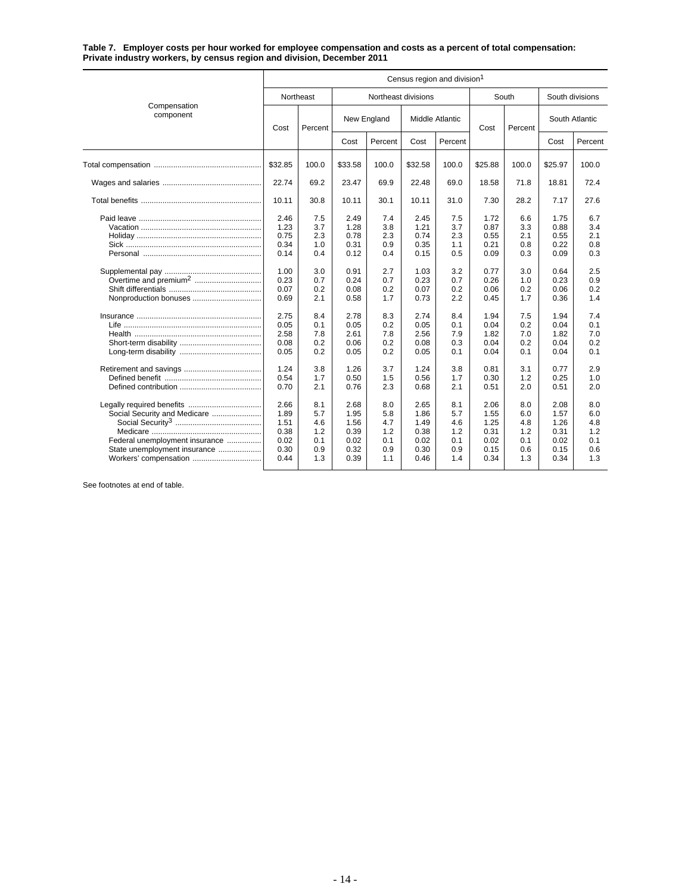**Table 7. Employer costs per hour worked for employee compensation and costs as a percent of total compensation: Private industry workers, by census region and division, December 2011**

|                                                                                                                         | Census region and division <sup>1</sup>                                                                      |                                                                                                |                                                                                                              |                                                                                                |                                                                                                              |                                                                                                |                                                                                                              |                                                                                                |                                                                                                              |                                                                                                |  |  |
|-------------------------------------------------------------------------------------------------------------------------|--------------------------------------------------------------------------------------------------------------|------------------------------------------------------------------------------------------------|--------------------------------------------------------------------------------------------------------------|------------------------------------------------------------------------------------------------|--------------------------------------------------------------------------------------------------------------|------------------------------------------------------------------------------------------------|--------------------------------------------------------------------------------------------------------------|------------------------------------------------------------------------------------------------|--------------------------------------------------------------------------------------------------------------|------------------------------------------------------------------------------------------------|--|--|
|                                                                                                                         |                                                                                                              | Northeast                                                                                      |                                                                                                              | Northeast divisions                                                                            |                                                                                                              |                                                                                                |                                                                                                              | South                                                                                          |                                                                                                              | South divisions                                                                                |  |  |
| Compensation<br>component                                                                                               | Cost                                                                                                         | Percent                                                                                        |                                                                                                              | New England                                                                                    |                                                                                                              | <b>Middle Atlantic</b>                                                                         |                                                                                                              | Percent                                                                                        | South Atlantic                                                                                               |                                                                                                |  |  |
|                                                                                                                         |                                                                                                              |                                                                                                | Cost                                                                                                         | Percent                                                                                        | Cost                                                                                                         | Percent                                                                                        |                                                                                                              |                                                                                                | Cost                                                                                                         | Percent                                                                                        |  |  |
|                                                                                                                         | \$32.85                                                                                                      | 100.0                                                                                          | \$33.58                                                                                                      | 100.0                                                                                          | \$32.58                                                                                                      | 100.0                                                                                          | \$25.88                                                                                                      | 100.0                                                                                          | \$25.97                                                                                                      | 100.0                                                                                          |  |  |
|                                                                                                                         | 22.74                                                                                                        | 69.2                                                                                           | 23.47                                                                                                        | 69.9                                                                                           | 22.48                                                                                                        | 69.0                                                                                           | 18.58                                                                                                        | 71.8                                                                                           | 18.81                                                                                                        | 72.4                                                                                           |  |  |
|                                                                                                                         | 10.11                                                                                                        | 30.8                                                                                           | 10.11                                                                                                        | 30.1                                                                                           | 10.11                                                                                                        | 31.0                                                                                           | 7.30                                                                                                         | 28.2                                                                                           | 7.17                                                                                                         | 27.6                                                                                           |  |  |
| Nonproduction bonuses                                                                                                   | 2.46<br>1.23<br>0.75<br>0.34<br>0.14<br>1.00<br>0.23<br>0.07<br>0.69<br>2.75<br>0.05<br>2.58<br>0.08<br>0.05 | 7.5<br>3.7<br>2.3<br>1.0<br>0.4<br>3.0<br>0.7<br>0.2<br>2.1<br>8.4<br>0.1<br>7.8<br>0.2<br>0.2 | 2.49<br>1.28<br>0.78<br>0.31<br>0.12<br>0.91<br>0.24<br>0.08<br>0.58<br>2.78<br>0.05<br>2.61<br>0.06<br>0.05 | 7.4<br>3.8<br>2.3<br>0.9<br>0.4<br>2.7<br>0.7<br>0.2<br>1.7<br>8.3<br>0.2<br>7.8<br>0.2<br>0.2 | 2.45<br>1.21<br>0.74<br>0.35<br>0.15<br>1.03<br>0.23<br>0.07<br>0.73<br>2.74<br>0.05<br>2.56<br>0.08<br>0.05 | 7.5<br>3.7<br>2.3<br>1.1<br>0.5<br>3.2<br>0.7<br>0.2<br>2.2<br>8.4<br>0.1<br>7.9<br>0.3<br>0.1 | 1.72<br>0.87<br>0.55<br>0.21<br>0.09<br>0.77<br>0.26<br>0.06<br>0.45<br>1.94<br>0.04<br>1.82<br>0.04<br>0.04 | 6.6<br>3.3<br>2.1<br>0.8<br>0.3<br>3.0<br>1.0<br>0.2<br>1.7<br>7.5<br>0.2<br>7.0<br>0.2<br>0.1 | 1.75<br>0.88<br>0.55<br>0.22<br>0.09<br>0.64<br>0.23<br>0.06<br>0.36<br>1.94<br>0.04<br>1.82<br>0.04<br>0.04 | 6.7<br>3.4<br>2.1<br>0.8<br>0.3<br>2.5<br>0.9<br>0.2<br>1.4<br>7.4<br>0.1<br>7.0<br>0.2<br>0.1 |  |  |
| Social Security and Medicare<br>Federal unemployment insurance<br>State unemployment insurance<br>Workers' compensation | 1.24<br>0.54<br>0.70<br>2.66<br>1.89<br>1.51<br>0.38<br>0.02<br>0.30<br>0.44                                 | 3.8<br>1.7<br>2.1<br>8.1<br>5.7<br>4.6<br>1.2<br>0.1<br>0.9<br>1.3                             | 1.26<br>0.50<br>0.76<br>2.68<br>1.95<br>1.56<br>0.39<br>0.02<br>0.32<br>0.39                                 | 3.7<br>1.5<br>2.3<br>8.0<br>5.8<br>4.7<br>1.2<br>0.1<br>0.9<br>1.1                             | 1.24<br>0.56<br>0.68<br>2.65<br>1.86<br>1.49<br>0.38<br>0.02<br>0.30<br>0.46                                 | 3.8<br>1.7<br>2.1<br>8.1<br>5.7<br>4.6<br>1.2<br>0.1<br>0.9<br>1.4                             | 0.81<br>0.30<br>0.51<br>2.06<br>1.55<br>1.25<br>0.31<br>0.02<br>0.15<br>0.34                                 | 3.1<br>1.2<br>2.0<br>8.0<br>6.0<br>4.8<br>1.2<br>0.1<br>0.6<br>1.3                             | 0.77<br>0.25<br>0.51<br>2.08<br>1.57<br>1.26<br>0.31<br>0.02<br>0.15<br>0.34                                 | 2.9<br>1.0<br>2.0<br>8.0<br>6.0<br>4.8<br>1.2<br>0.1<br>0.6<br>1.3                             |  |  |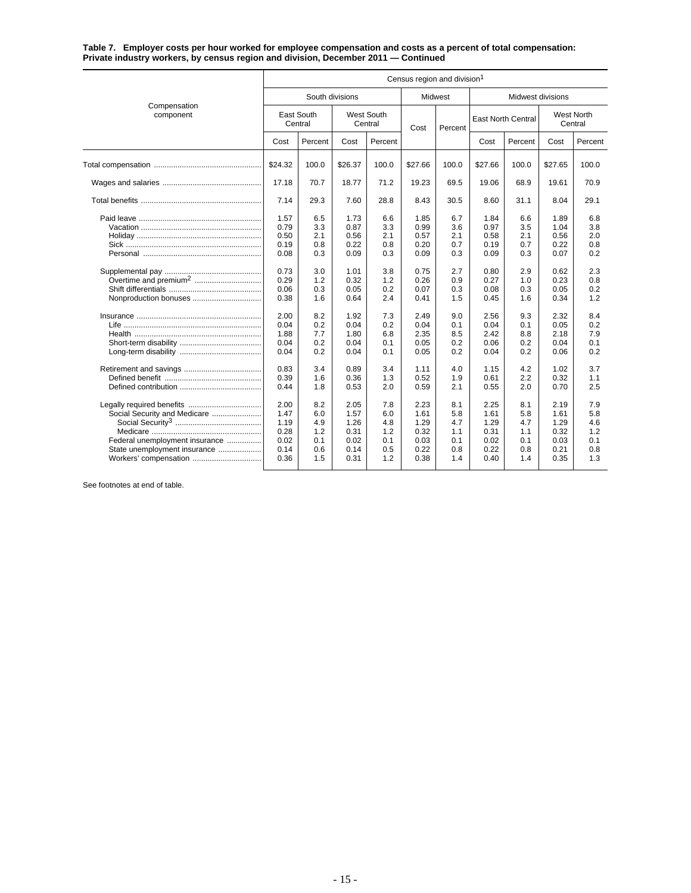**Table 7. Employer costs per hour worked for employee compensation and costs as a percent of total compensation: Private industry workers, by census region and division, December 2011 — Continued**

|                                                                                                                         | Census region and division <sup>1</sup>                                                                      |                                                                                                |                                                                                                              |                                                                                                |                                                                                                              |                                                                                                |                                                                                                              |                                                                                                |                                                                                                              |                                                                                                |  |
|-------------------------------------------------------------------------------------------------------------------------|--------------------------------------------------------------------------------------------------------------|------------------------------------------------------------------------------------------------|--------------------------------------------------------------------------------------------------------------|------------------------------------------------------------------------------------------------|--------------------------------------------------------------------------------------------------------------|------------------------------------------------------------------------------------------------|--------------------------------------------------------------------------------------------------------------|------------------------------------------------------------------------------------------------|--------------------------------------------------------------------------------------------------------------|------------------------------------------------------------------------------------------------|--|
|                                                                                                                         |                                                                                                              | South divisions                                                                                |                                                                                                              |                                                                                                |                                                                                                              | <b>Midwest</b>                                                                                 | Midwest divisions                                                                                            |                                                                                                |                                                                                                              |                                                                                                |  |
| Compensation<br>component                                                                                               | East South<br>Central                                                                                        |                                                                                                | West South<br>Central                                                                                        |                                                                                                | Cost                                                                                                         | Percent                                                                                        | <b>East North Central</b>                                                                                    |                                                                                                | <b>West North</b><br>Central                                                                                 |                                                                                                |  |
|                                                                                                                         | Cost                                                                                                         | Percent                                                                                        | Cost                                                                                                         | Percent                                                                                        |                                                                                                              |                                                                                                | Cost                                                                                                         | Percent                                                                                        | Cost                                                                                                         | Percent                                                                                        |  |
|                                                                                                                         | \$24.32                                                                                                      | 100.0                                                                                          | \$26.37                                                                                                      | 100.0                                                                                          | \$27.66                                                                                                      | 100.0                                                                                          | \$27.66                                                                                                      | 100.0                                                                                          | \$27.65                                                                                                      | 100.0                                                                                          |  |
|                                                                                                                         | 17.18                                                                                                        | 70.7                                                                                           | 18.77                                                                                                        | 71.2                                                                                           | 19.23                                                                                                        | 69.5                                                                                           | 19.06                                                                                                        | 68.9                                                                                           | 19.61                                                                                                        | 70.9                                                                                           |  |
|                                                                                                                         | 7.14                                                                                                         | 29.3                                                                                           | 7.60                                                                                                         | 28.8                                                                                           | 8.43                                                                                                         | 30.5                                                                                           | 8.60                                                                                                         | 31.1                                                                                           | 8.04                                                                                                         | 29.1                                                                                           |  |
| Nonproduction bonuses                                                                                                   | 1.57<br>0.79<br>0.50<br>0.19<br>0.08<br>0.73<br>0.29<br>0.06<br>0.38<br>2.00<br>0.04<br>1.88<br>0.04<br>0.04 | 6.5<br>3.3<br>2.1<br>0.8<br>0.3<br>3.0<br>1.2<br>0.3<br>1.6<br>8.2<br>0.2<br>7.7<br>0.2<br>0.2 | 1.73<br>0.87<br>0.56<br>0.22<br>0.09<br>1.01<br>0.32<br>0.05<br>0.64<br>1.92<br>0.04<br>1.80<br>0.04<br>0.04 | 6.6<br>3.3<br>2.1<br>0.8<br>0.3<br>3.8<br>1.2<br>0.2<br>2.4<br>7.3<br>0.2<br>6.8<br>0.1<br>0.1 | 1.85<br>0.99<br>0.57<br>0.20<br>0.09<br>0.75<br>0.26<br>0.07<br>0.41<br>2.49<br>0.04<br>2.35<br>0.05<br>0.05 | 6.7<br>3.6<br>2.1<br>0.7<br>0.3<br>2.7<br>0.9<br>0.3<br>1.5<br>9.0<br>0.1<br>8.5<br>0.2<br>0.2 | 1.84<br>0.97<br>0.58<br>0.19<br>0.09<br>0.80<br>0.27<br>0.08<br>0.45<br>2.56<br>0.04<br>2.42<br>0.06<br>0.04 | 6.6<br>3.5<br>2.1<br>0.7<br>0.3<br>2.9<br>1.0<br>0.3<br>1.6<br>9.3<br>0.1<br>8.8<br>0.2<br>0.2 | 1.89<br>1.04<br>0.56<br>0.22<br>0.07<br>0.62<br>0.23<br>0.05<br>0.34<br>2.32<br>0.05<br>2.18<br>0.04<br>0.06 | 6.8<br>3.8<br>2.0<br>0.8<br>0.2<br>2.3<br>0.8<br>0.2<br>1.2<br>8.4<br>0.2<br>7.9<br>0.1<br>0.2 |  |
| Social Security and Medicare<br>Federal unemployment insurance<br>State unemployment insurance<br>Workers' compensation | 0.83<br>0.39<br>0.44<br>2.00<br>1.47<br>1.19<br>0.28<br>0.02<br>0.14<br>0.36                                 | 3.4<br>1.6<br>1.8<br>8.2<br>6.0<br>4.9<br>1.2<br>0.1<br>0.6<br>1.5                             | 0.89<br>0.36<br>0.53<br>2.05<br>1.57<br>1.26<br>0.31<br>0.02<br>0.14<br>0.31                                 | 3.4<br>1.3<br>2.0<br>7.8<br>6.0<br>4.8<br>1.2<br>0.1<br>0.5<br>1.2                             | 1.11<br>0.52<br>0.59<br>2.23<br>1.61<br>1.29<br>0.32<br>0.03<br>0.22<br>0.38                                 | 4.0<br>1.9<br>2.1<br>8.1<br>5.8<br>4.7<br>1.1<br>0.1<br>0.8<br>1.4                             | 1.15<br>0.61<br>0.55<br>2.25<br>1.61<br>1.29<br>0.31<br>0.02<br>0.22<br>0.40                                 | 4.2<br>2.2<br>2.0<br>8.1<br>5.8<br>4.7<br>1.1<br>0.1<br>0.8<br>1.4                             | 1.02<br>0.32<br>0.70<br>2.19<br>1.61<br>1.29<br>0.32<br>0.03<br>0.21<br>0.35                                 | 3.7<br>1.1<br>2.5<br>7.9<br>5.8<br>4.6<br>1.2<br>0.1<br>0.8<br>1.3                             |  |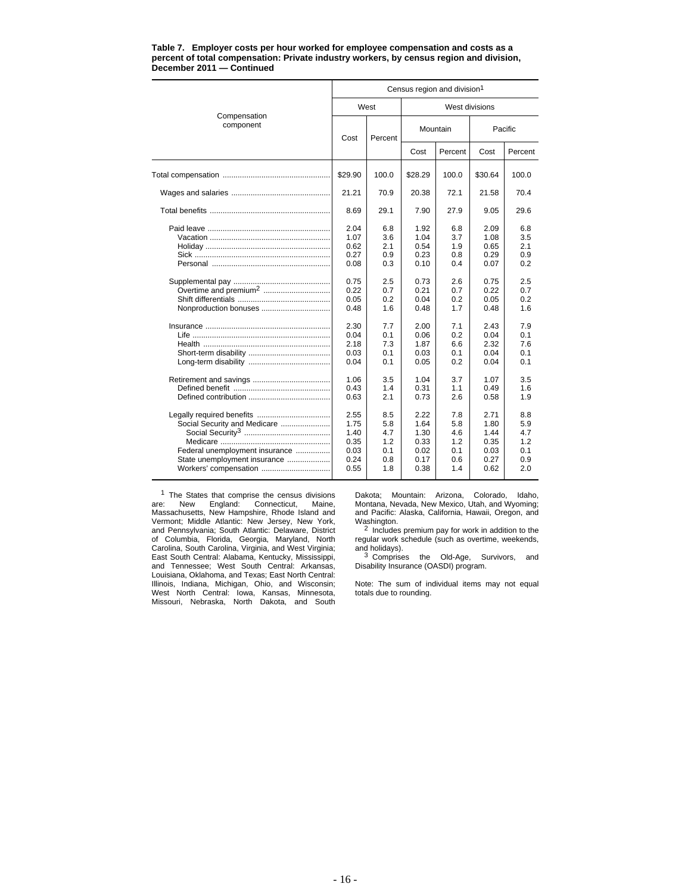|                                                                                                                         |                                                      |                                               |                                                      | Census region and division <sup>1</sup>       |                                                      |                                               |  |  |
|-------------------------------------------------------------------------------------------------------------------------|------------------------------------------------------|-----------------------------------------------|------------------------------------------------------|-----------------------------------------------|------------------------------------------------------|-----------------------------------------------|--|--|
|                                                                                                                         | West                                                 |                                               | West divisions                                       |                                               |                                                      |                                               |  |  |
| Compensation<br>component                                                                                               | Cost                                                 | Percent                                       |                                                      | Mountain                                      | Pacific                                              |                                               |  |  |
|                                                                                                                         |                                                      |                                               | Cost                                                 | Percent                                       | Cost                                                 | Percent                                       |  |  |
|                                                                                                                         | \$29.90                                              | 100.0                                         | \$28.29                                              | 100.0                                         | \$30.64                                              | 100.0                                         |  |  |
|                                                                                                                         | 21.21                                                | 70.9                                          | 20.38                                                | 72.1                                          | 21.58                                                | 70.4                                          |  |  |
|                                                                                                                         | 8.69                                                 | 29.1                                          | 7.90                                                 | 27.9                                          | 9.05                                                 | 29.6                                          |  |  |
|                                                                                                                         | 2.04<br>1.07<br>0.62<br>0.27<br>0.08                 | 6.8<br>3.6<br>2.1<br>0.9<br>0.3               | 1.92<br>1.04<br>0.54<br>0.23<br>0.10                 | 6.8<br>3.7<br>1.9<br>0.8<br>0.4               | 2.09<br>1.08<br>0.65<br>0.29<br>0.07                 | 6.8<br>3.5<br>2.1<br>0.9<br>0.2               |  |  |
|                                                                                                                         | 0.75<br>0.22<br>0.05<br>0.48                         | 2.5<br>0.7<br>0.2<br>1.6                      | 0.73<br>0.21<br>0.04<br>0.48                         | 2.6<br>0.7<br>0.2<br>1.7                      | 0.75<br>0.22<br>0.05<br>0.48                         | 2.5<br>0.7<br>0.2<br>1.6                      |  |  |
| Life ………………………………………………………                                                                                              | 2.30<br>0.04<br>2.18<br>0.03<br>0.04                 | 7.7<br>0.1<br>7.3<br>0.1<br>0.1               | 2.00<br>0.06<br>1.87<br>0.03<br>0.05                 | 7.1<br>0.2<br>6.6<br>0.1<br>0.2               | 2.43<br>0.04<br>2.32<br>0.04<br>0.04                 | 7.9<br>0.1<br>7.6<br>0.1<br>0.1               |  |  |
|                                                                                                                         | 1.06<br>0.43<br>0.63                                 | 3.5<br>1.4<br>2.1                             | 1.04<br>0.31<br>0.73                                 | 3.7<br>1.1<br>2.6                             | 1.07<br>0.49<br>0.58                                 | 3.5<br>1.6<br>1.9                             |  |  |
| Social Security and Medicare<br>Federal unemployment insurance<br>State unemployment insurance<br>Workers' compensation | 2.55<br>1.75<br>1.40<br>0.35<br>0.03<br>0.24<br>0.55 | 8.5<br>5.8<br>4.7<br>1.2<br>0.1<br>0.8<br>1.8 | 2.22<br>1.64<br>1.30<br>0.33<br>0.02<br>0.17<br>0.38 | 7.8<br>5.8<br>4.6<br>1.2<br>0.1<br>0.6<br>1.4 | 2.71<br>1.80<br>1.44<br>0.35<br>0.03<br>0.27<br>0.62 | 8.8<br>5.9<br>4.7<br>1.2<br>0.1<br>0.9<br>2.0 |  |  |

#### **Table 7. Employer costs per hour worked for employee compensation and costs as a percent of total compensation: Private industry workers, by census region and division, December 2011 — Continued**

<sup>1</sup> The States that comprise the census divisions are: New England: Connecticut, Maine, Massachusetts, New Hampshire, Rhode Island and Vermont; Middle Atlantic: New Jersey, New York, and Pennsylvania; South Atlantic: Delaware, District of Columbia, Florida, Georgia, Maryland, North Carolina, South Carolina, Virginia, and West Virginia; East South Central: Alabama, Kentucky, Mississippi, and Tennessee; West South Central: Arkansas, Louisiana, Oklahoma, and Texas; East North Central: Illinois, Indiana, Michigan, Ohio, and Wisconsin; West North Central: Iowa, Kansas, Minnesota, Missouri, Nebraska, North Dakota, and South

Dakota; Mountain: Arizona, Colorado, Idaho, Montana, Nevada, New Mexico, Utah, and Wyoming; and Pacific: Alaska, California, Hawaii, Oregon, and

Washington.<br><sup>2</sup> Includes premium pay for work in addition to the<br>regular work schedule (such as overtime, weekends, and holidays).<br><sup>3</sup> Comprises the Old-Age, Survivors, and

Disability Insurance (OASDI) program.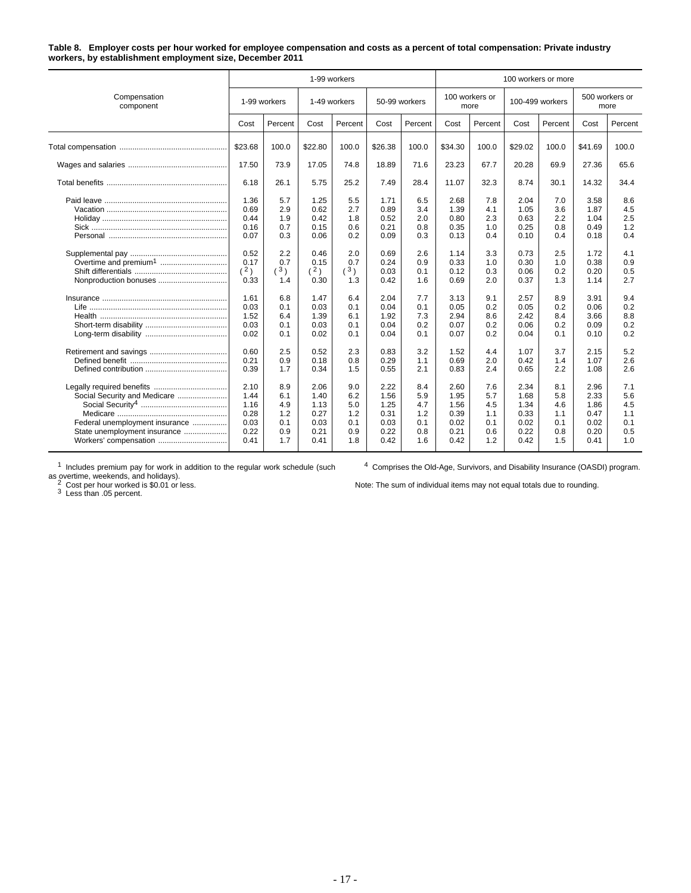### **Table 8. Employer costs per hour worked for employee compensation and costs as a percent of total compensation: Private industry workers, by establishment employment size, December 2011**

|                                                                                                                         |                                                                                                                          | 1-99 workers<br>100 workers or more                                                                       |                                                                                                             |                                                                                                     |                                                                                                              |                                                                                                |                                                                                                              |                                                                                                |                                                                                                              |                                                                                                |                                                                                                              |                                                                                                |
|-------------------------------------------------------------------------------------------------------------------------|--------------------------------------------------------------------------------------------------------------------------|-----------------------------------------------------------------------------------------------------------|-------------------------------------------------------------------------------------------------------------|-----------------------------------------------------------------------------------------------------|--------------------------------------------------------------------------------------------------------------|------------------------------------------------------------------------------------------------|--------------------------------------------------------------------------------------------------------------|------------------------------------------------------------------------------------------------|--------------------------------------------------------------------------------------------------------------|------------------------------------------------------------------------------------------------|--------------------------------------------------------------------------------------------------------------|------------------------------------------------------------------------------------------------|
| Compensation<br>component                                                                                               | 1-99 workers                                                                                                             |                                                                                                           | 1-49 workers                                                                                                |                                                                                                     |                                                                                                              | 50-99 workers                                                                                  | 100 workers or<br>more                                                                                       |                                                                                                | 100-499 workers                                                                                              |                                                                                                | 500 workers or<br>more                                                                                       |                                                                                                |
|                                                                                                                         | Cost                                                                                                                     | Percent                                                                                                   | Cost                                                                                                        | Percent                                                                                             | Cost                                                                                                         | Percent                                                                                        | Cost                                                                                                         | Percent                                                                                        | Cost                                                                                                         | Percent                                                                                        | Cost                                                                                                         | Percent                                                                                        |
|                                                                                                                         | \$23.68                                                                                                                  | 100.0                                                                                                     | \$22.80                                                                                                     | 100.0                                                                                               | \$26.38                                                                                                      | 100.0                                                                                          | \$34.30                                                                                                      | 100.0                                                                                          | \$29.02                                                                                                      | 100.0                                                                                          | \$41.69                                                                                                      | 100.0                                                                                          |
|                                                                                                                         | 17.50                                                                                                                    | 73.9                                                                                                      | 17.05                                                                                                       | 74.8                                                                                                | 18.89                                                                                                        | 71.6                                                                                           | 23.23                                                                                                        | 67.7                                                                                           | 20.28                                                                                                        | 69.9                                                                                           | 27.36                                                                                                        | 65.6                                                                                           |
|                                                                                                                         | 6.18                                                                                                                     | 26.1                                                                                                      | 5.75                                                                                                        | 25.2                                                                                                | 7.49                                                                                                         | 28.4                                                                                           | 11.07                                                                                                        | 32.3                                                                                           | 8.74                                                                                                         | 30.1                                                                                           | 14.32                                                                                                        | 34.4                                                                                           |
| Nonproduction bonuses                                                                                                   | 1.36<br>0.69<br>0.44<br>0.16<br>0.07<br>0.52<br>0.17<br>$(\frac{2}{ } )$<br>0.33<br>1.61<br>0.03<br>1.52<br>0.03<br>0.02 | 5.7<br>2.9<br>1.9<br>0.7<br>0.3<br>2.2<br>0.7<br>3 <sub>1</sub><br>1.4<br>6.8<br>0.1<br>6.4<br>0.1<br>0.1 | 1.25<br>0.62<br>0.42<br>0.15<br>0.06<br>0.46<br>0.15<br>(2)<br>0.30<br>1.47<br>0.03<br>1.39<br>0.03<br>0.02 | 5.5<br>2.7<br>1.8<br>0.6<br>0.2<br>2.0<br>0.7<br>$^{(3)}$<br>1.3<br>6.4<br>0.1<br>6.1<br>0.1<br>0.1 | 1.71<br>0.89<br>0.52<br>0.21<br>0.09<br>0.69<br>0.24<br>0.03<br>0.42<br>2.04<br>0.04<br>1.92<br>0.04<br>0.04 | 6.5<br>3.4<br>2.0<br>0.8<br>0.3<br>2.6<br>0.9<br>0.1<br>1.6<br>7.7<br>0.1<br>7.3<br>0.2<br>0.1 | 2.68<br>1.39<br>0.80<br>0.35<br>0.13<br>1.14<br>0.33<br>0.12<br>0.69<br>3.13<br>0.05<br>2.94<br>0.07<br>0.07 | 7.8<br>4.1<br>2.3<br>1.0<br>0.4<br>3.3<br>1.0<br>0.3<br>2.0<br>9.1<br>0.2<br>8.6<br>0.2<br>0.2 | 2.04<br>1.05<br>0.63<br>0.25<br>0.10<br>0.73<br>0.30<br>0.06<br>0.37<br>2.57<br>0.05<br>2.42<br>0.06<br>0.04 | 7.0<br>3.6<br>2.2<br>0.8<br>0.4<br>2.5<br>1.0<br>0.2<br>1.3<br>8.9<br>0.2<br>8.4<br>0.2<br>0.1 | 3.58<br>1.87<br>1.04<br>0.49<br>0.18<br>1.72<br>0.38<br>0.20<br>1.14<br>3.91<br>0.06<br>3.66<br>0.09<br>0.10 | 8.6<br>4.5<br>2.5<br>1.2<br>0.4<br>4.1<br>0.9<br>0.5<br>2.7<br>9.4<br>0.2<br>8.8<br>0.2<br>0.2 |
|                                                                                                                         | 0.60<br>0.21<br>0.39                                                                                                     | 2.5<br>0.9<br>1.7                                                                                         | 0.52<br>0.18<br>0.34                                                                                        | 2.3<br>0.8<br>1.5                                                                                   | 0.83<br>0.29<br>0.55                                                                                         | 3.2<br>1.1<br>2.1                                                                              | 1.52<br>0.69<br>0.83                                                                                         | 4.4<br>2.0<br>2.4                                                                              | 1.07<br>0.42<br>0.65                                                                                         | 3.7<br>1.4<br>2.2                                                                              | 2.15<br>1.07<br>1.08                                                                                         | 5.2<br>2.6<br>2.6                                                                              |
| Social Security and Medicare<br>Federal unemployment insurance<br>State unemployment insurance<br>Workers' compensation | 2.10<br>1.44<br>1.16<br>0.28<br>0.03<br>0.22<br>0.41                                                                     | 8.9<br>6.1<br>4.9<br>1.2<br>0.1<br>0.9<br>1.7                                                             | 2.06<br>1.40<br>1.13<br>0.27<br>0.03<br>0.21<br>0.41                                                        | 9.0<br>6.2<br>5.0<br>1.2<br>0.1<br>0.9<br>1.8                                                       | 2.22<br>1.56<br>1.25<br>0.31<br>0.03<br>0.22<br>0.42                                                         | 8.4<br>5.9<br>4.7<br>1.2<br>0.1<br>0.8<br>1.6                                                  | 2.60<br>1.95<br>1.56<br>0.39<br>0.02<br>0.21<br>0.42                                                         | 7.6<br>5.7<br>4.5<br>1.1<br>0.1<br>0.6<br>1.2                                                  | 2.34<br>1.68<br>1.34<br>0.33<br>0.02<br>0.22<br>0.42                                                         | 8.1<br>5.8<br>4.6<br>1.1<br>0.1<br>0.8<br>1.5                                                  | 2.96<br>2.33<br>1.86<br>0.47<br>0.02<br>0.20<br>0.41                                                         | 7.1<br>5.6<br>4.5<br>1.1<br>0.1<br>0.5<br>1.0                                                  |

 $1$  Includes premium pay for work in addition to the regular work schedule (such

as overtime, weekends, and holidays).<br><sup>2</sup> Cost per hour worked is \$0.01 or less.<br><sup>3</sup> Less than .05 percent.

<sup>4</sup> Comprises the Old-Age, Survivors, and Disability Insurance (OASDI) program.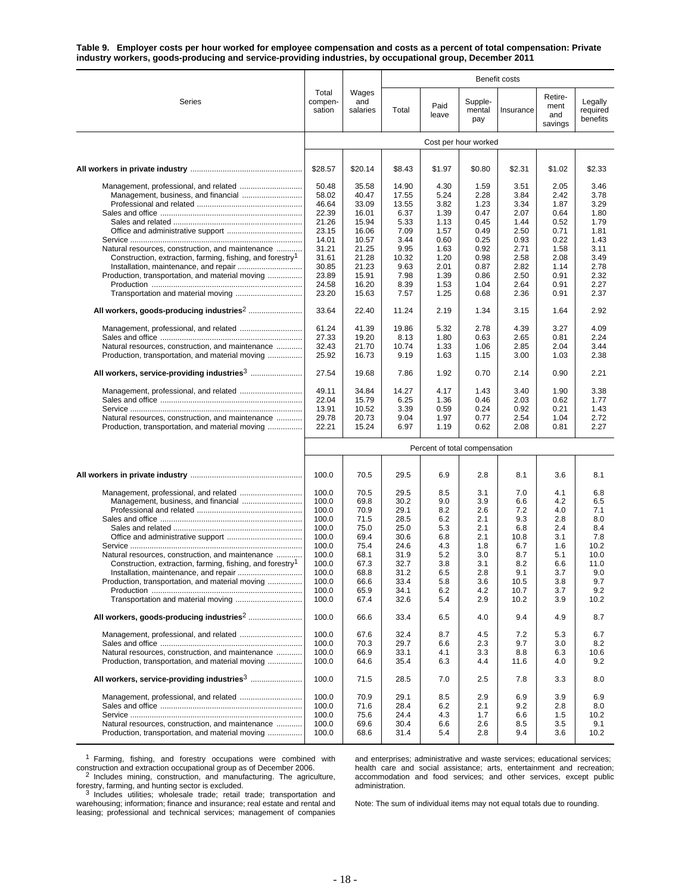**Table 9. Employer costs per hour worked for employee compensation and costs as a percent of total compensation: Private industry workers, goods-producing and service-providing industries, by occupational group, December 2011**

|                                                                                                                                                                              |                                                                      |                                                              |                                                              |                                                      |                                                      | Benefit costs                                         |                                                      |                                                        |
|------------------------------------------------------------------------------------------------------------------------------------------------------------------------------|----------------------------------------------------------------------|--------------------------------------------------------------|--------------------------------------------------------------|------------------------------------------------------|------------------------------------------------------|-------------------------------------------------------|------------------------------------------------------|--------------------------------------------------------|
| Series                                                                                                                                                                       | Total<br>compen-<br>sation                                           | Wages<br>and<br>salaries                                     | Total                                                        | Paid<br>leave                                        | Supple-<br>mental<br>pay                             | Insurance                                             | Retire-<br>ment<br>and<br>savings                    | Legally<br>required<br>benefits                        |
|                                                                                                                                                                              |                                                                      |                                                              |                                                              |                                                      | Cost per hour worked                                 |                                                       |                                                      |                                                        |
|                                                                                                                                                                              | \$28.57                                                              | \$20.14                                                      | \$8.43                                                       | \$1.97                                               | \$0.80                                               | \$2.31                                                | \$1.02                                               | \$2.33                                                 |
|                                                                                                                                                                              | 50.48<br>58.02<br>46.64                                              | 35.58<br>40.47<br>33.09                                      | 14.90<br>17.55<br>13.55                                      | 4.30<br>5.24<br>3.82                                 | 1.59<br>2.28<br>1.23                                 | 3.51<br>3.84<br>3.34                                  | 2.05<br>2.42<br>1.87                                 | 3.46<br>3.78<br>3.29                                   |
|                                                                                                                                                                              | 22.39<br>21.26<br>23.15                                              | 16.01<br>15.94<br>16.06                                      | 6.37<br>5.33<br>7.09                                         | 1.39<br>1.13<br>1.57                                 | 0.47<br>0.45<br>0.49                                 | 2.07<br>1.44<br>2.50                                  | 0.64<br>0.52<br>0.71                                 | 1.80<br>1.79<br>1.81                                   |
| Natural resources, construction, and maintenance<br>Construction, extraction, farming, fishing, and forestry <sup>1</sup><br>Production, transportation, and material moving | 14.01<br>31.21<br>31.61<br>30.85<br>23.89<br>24.58                   | 10.57<br>21.25<br>21.28<br>21.23<br>15.91<br>16.20           | 3.44<br>9.95<br>10.32<br>9.63<br>7.98                        | 0.60<br>1.63<br>1.20<br>2.01<br>1.39<br>1.53         | 0.25<br>0.92<br>0.98<br>0.87<br>0.86                 | 0.93<br>2.71<br>2.58<br>2.82<br>2.50<br>2.64          | 0.22<br>1.58<br>2.08<br>1.14<br>0.91<br>0.91         | 1.43<br>3.11<br>3.49<br>2.78<br>2.32<br>2.27           |
| Transportation and material moving                                                                                                                                           | 23.20<br>33.64                                                       | 15.63<br>22.40                                               | 8.39<br>7.57<br>11.24                                        | 1.25<br>2.19                                         | 1.04<br>0.68<br>1.34                                 | 2.36<br>3.15                                          | 0.91<br>1.64                                         | 2.37<br>2.92                                           |
| Natural resources, construction, and maintenance                                                                                                                             | 61.24<br>27.33<br>32.43<br>25.92                                     | 41.39<br>19.20<br>21.70<br>16.73                             | 19.86<br>8.13<br>10.74<br>9.19                               | 5.32<br>1.80<br>1.33<br>1.63                         | 2.78<br>0.63<br>1.06<br>1.15                         | 4.39<br>2.65<br>2.85<br>3.00                          | 3.27<br>0.81<br>2.04<br>1.03                         | 4.09<br>2.24<br>3.44<br>2.38                           |
| Production, transportation, and material moving                                                                                                                              | 27.54                                                                | 19.68                                                        | 7.86                                                         | 1.92                                                 | 0.70                                                 | 2.14                                                  | 0.90                                                 | 2.21                                                   |
| Management, professional, and related<br>Natural resources, construction, and maintenance<br>Production, transportation, and material moving                                 | 49.11<br>22.04<br>13.91<br>29.78<br>22.21                            | 34.84<br>15.79<br>10.52<br>20.73<br>15.24                    | 14.27<br>6.25<br>3.39<br>9.04<br>6.97                        | 4.17<br>1.36<br>0.59<br>1.97<br>1.19                 | 1.43<br>0.46<br>0.24<br>0.77<br>0.62                 | 3.40<br>2.03<br>0.92<br>2.54<br>2.08                  | 1.90<br>0.62<br>0.21<br>1.04<br>0.81                 | 3.38<br>1.77<br>1.43<br>2.72<br>2.27                   |
|                                                                                                                                                                              |                                                                      |                                                              |                                                              |                                                      | Percent of total compensation                        |                                                       |                                                      |                                                        |
|                                                                                                                                                                              | 100.0                                                                | 70.5                                                         | 29.5                                                         | 6.9                                                  | 2.8                                                  | 8.1                                                   | 3.6                                                  | 8.1                                                    |
| Natural resources, construction, and maintenance                                                                                                                             | 100.0<br>100.0<br>100.0<br>100.0<br>100.0<br>100.0<br>100.0<br>100.0 | 70.5<br>69.8<br>70.9<br>71.5<br>75.0<br>69.4<br>75.4<br>68.1 | 29.5<br>30.2<br>29.1<br>28.5<br>25.0<br>30.6<br>24.6<br>31.9 | 8.5<br>9.0<br>8.2<br>6.2<br>5.3<br>6.8<br>4.3<br>5.2 | 3.1<br>3.9<br>2.6<br>2.1<br>2.1<br>2.1<br>1.8<br>3.0 | 7.0<br>6.6<br>7.2<br>9.3<br>6.8<br>10.8<br>6.7<br>8.7 | 4.1<br>4.2<br>4.0<br>2.8<br>2.4<br>3.1<br>1.6<br>5.1 | 6.8<br>6.5<br>7.1<br>8.0<br>8.4<br>7.8<br>10.2<br>10.0 |
| Construction, extraction, farming, fishing, and forestry <sup>1</sup><br>Installation, maintenance, and repair<br>Production, transportation, and material moving            | 100.0<br>100.0<br>100.0<br>100.0<br>100.0                            | 67.3<br>68.8<br>66.6<br>65.9<br>67.4                         | 32.7<br>31.2<br>33.4<br>34.1<br>32.6                         | 3.8<br>6.5<br>5.8<br>6.2<br>5.4                      | 3.1<br>2.8<br>3.6<br>4.2<br>2.9                      | 8.2<br>9.1<br>10.5<br>10.7<br>10.2                    | 6.6<br>3.7<br>3.8<br>3.7<br>3.9                      | 11.0<br>9.0<br>9.7<br>9.2<br>10.2                      |
|                                                                                                                                                                              | 100.0                                                                | 66.6                                                         | 33.4                                                         | 6.5                                                  | 4.0                                                  | 9.4                                                   | 4.9                                                  | 8.7                                                    |
| Natural resources, construction, and maintenance<br>Production, transportation, and material moving                                                                          | 100.0<br>100.0<br>100.0<br>100.0                                     | 67.6<br>70.3<br>66.9<br>64.6                                 | 32.4<br>29.7<br>33.1<br>35.4                                 | 8.7<br>6.6<br>4.1<br>6.3                             | 4.5<br>2.3<br>3.3<br>4.4                             | 7.2<br>9.7<br>8.8<br>11.6                             | 5.3<br>3.0<br>6.3<br>4.0                             | 6.7<br>8.2<br>10.6<br>9.2                              |
|                                                                                                                                                                              | 100.0                                                                | 71.5                                                         | 28.5                                                         | 7.0                                                  | 2.5                                                  | 7.8                                                   | 3.3                                                  | 8.0                                                    |
| Management, professional, and related<br>Natural resources, construction, and maintenance<br>Production, transportation, and material moving                                 | 100.0<br>100.0<br>100.0<br>100.0<br>100.0                            | 70.9<br>71.6<br>75.6<br>69.6<br>68.6                         | 29.1<br>28.4<br>24.4<br>30.4<br>31.4                         | 8.5<br>6.2<br>4.3<br>6.6<br>5.4                      | 2.9<br>2.1<br>1.7<br>2.6<br>2.8                      | 6.9<br>9.2<br>6.6<br>8.5<br>9.4                       | 3.9<br>2.8<br>1.5<br>3.5<br>3.6                      | 6.9<br>8.0<br>10.2<br>9.1<br>10.2                      |

<sup>1</sup> Farming, fishing, and forestry occupations were combined with construction and extraction occupational group as of December 2006. <sup>2</sup> Includes mining, construction, and manufacturing. The agriculture,

forestry, farming, and hunting sector is excluded.<br><sup>3</sup> Includes utilities; wholesale trade; retail trade; transportation and

warehousing; information; finance and insurance; real estate and rental and leasing; professional and technical services; management of companies

and enterprises; administrative and waste services; educational services; health care and social assistance; arts, entertainment and recreation; accommodation and food services; and other services, except public administration.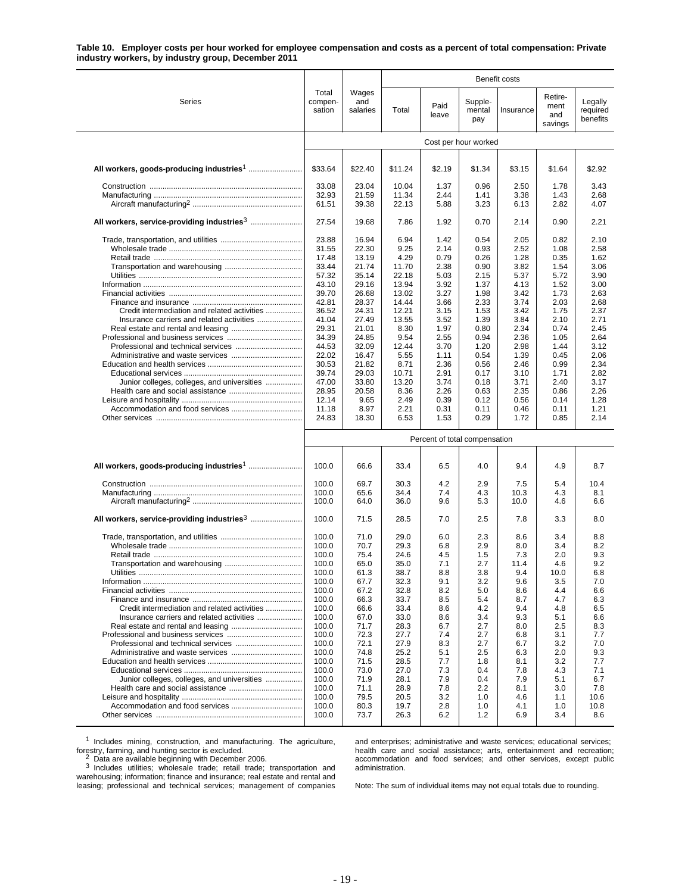### **Table 10. Employer costs per hour worked for employee compensation and costs as a percent of total compensation: Private industry workers, by industry group, December 2011**

|                                                        |                            |                          |              |                               |                          | Benefit costs |                                   |                                 |  |  |
|--------------------------------------------------------|----------------------------|--------------------------|--------------|-------------------------------|--------------------------|---------------|-----------------------------------|---------------------------------|--|--|
| Series                                                 | Total<br>compen-<br>sation | Wages<br>and<br>salaries | Total        | Paid<br>leave                 | Supple-<br>mental<br>pay | Insurance     | Retire-<br>ment<br>and<br>savings | Legally<br>required<br>benefits |  |  |
|                                                        |                            |                          |              |                               | Cost per hour worked     |               |                                   |                                 |  |  |
|                                                        | \$33.64                    | \$22.40                  | \$11.24      | \$2.19                        | \$1.34                   | \$3.15        | \$1.64                            | \$2.92                          |  |  |
|                                                        | 33.08                      | 23.04                    | 10.04        | 1.37                          | 0.96                     | 2.50          | 1.78                              | 3.43                            |  |  |
|                                                        | 32.93                      | 21.59                    | 11.34        | 2.44                          | 1.41                     | 3.38          | 1.43                              | 2.68                            |  |  |
|                                                        | 61.51                      | 39.38                    | 22.13        | 5.88                          | 3.23                     | 6.13          | 2.82                              | 4.07                            |  |  |
| All workers, service-providing industries <sup>3</sup> | 27.54                      | 19.68                    | 7.86         | 1.92                          | 0.70                     | 2.14          | 0.90                              | 2.21                            |  |  |
|                                                        | 23.88                      | 16.94                    | 6.94         | 1.42                          | 0.54                     | 2.05          | 0.82                              | 2.10                            |  |  |
|                                                        | 31.55<br>17.48             | 22.30                    | 9.25<br>4.29 | 2.14<br>0.79                  | 0.93                     | 2.52          | 1.08                              | 2.58                            |  |  |
|                                                        | 33.44                      | 13.19<br>21.74           | 11.70        | 2.38                          | 0.26<br>0.90             | 1.28<br>3.82  | 0.35<br>1.54                      | 1.62<br>3.06                    |  |  |
|                                                        | 57.32                      | 35.14                    | 22.18        | 5.03                          | 2.15                     | 5.37          | 5.72                              | 3.90                            |  |  |
|                                                        | 43.10                      | 29.16                    | 13.94        | 3.92                          | 1.37                     | 4.13          | 1.52                              | 3.00                            |  |  |
|                                                        | 39.70                      | 26.68                    | 13.02        | 3.27                          | 1.98                     | 3.42          | 1.73                              | 2.63                            |  |  |
|                                                        | 42.81                      | 28.37                    | 14.44        | 3.66                          | 2.33                     | 3.74          | 2.03                              | 2.68                            |  |  |
| Credit intermediation and related activities           | 36.52                      | 24.31                    | 12.21        | 3.15                          | 1.53                     | 3.42          | 1.75                              | 2.37                            |  |  |
|                                                        | 41.04                      | 27.49                    | 13.55        | 3.52                          | 1.39                     | 3.84          | 2.10                              | 2.71                            |  |  |
|                                                        | 29.31<br>34.39             | 21.01<br>24.85           | 8.30<br>9.54 | 1.97<br>2.55                  | 0.80<br>0.94             | 2.34<br>2.36  | 0.74<br>1.05                      | 2.45<br>2.64                    |  |  |
|                                                        | 44.53                      | 32.09                    | 12.44        | 3.70                          | 1.20                     | 2.98          | 1.44                              | 3.12                            |  |  |
|                                                        | 22.02                      | 16.47                    | 5.55         | 1.11                          | 0.54                     | 1.39          | 0.45                              | 2.06                            |  |  |
|                                                        | 30.53                      | 21.82                    | 8.71         | 2.36                          | 0.56                     | 2.46          | 0.99                              | 2.34                            |  |  |
|                                                        | 39.74                      | 29.03                    | 10.71        | 2.91                          | 0.17                     | 3.10          | 1.71                              | 2.82                            |  |  |
| Junior colleges, colleges, and universities            | 47.00                      | 33.80                    | 13.20        | 3.74                          | 0.18                     | 3.71          | 2.40                              | 3.17                            |  |  |
|                                                        | 28.95                      | 20.58                    | 8.36         | 2.26                          | 0.63                     | 2.35          | 0.86                              | 2.26                            |  |  |
|                                                        | 12.14                      | 9.65                     | 2.49         | 0.39                          | 0.12                     | 0.56          | 0.14                              | 1.28                            |  |  |
| Accommodation and food services                        | 11.18                      | 8.97                     | 2.21         | 0.31                          | 0.11                     | 0.46          | 0.11                              | 1.21                            |  |  |
|                                                        | 24.83                      | 18.30                    | 6.53         | 1.53                          | 0.29                     | 1.72          | 0.85                              | 2.14                            |  |  |
|                                                        |                            |                          |              | Percent of total compensation |                          |               |                                   |                                 |  |  |
|                                                        | 100.0                      | 66.6                     | 33.4         | 6.5                           | 4.0                      | 9.4           | 4.9                               | 8.7                             |  |  |
|                                                        | 100.0                      | 69.7                     | 30.3         | 4.2                           | 2.9                      | 7.5           | 5.4                               | 10.4                            |  |  |
|                                                        | 100.0                      | 65.6                     | 34.4         | 7.4                           | 4.3                      | 10.3          | 4.3                               | 8.1                             |  |  |
|                                                        | 100.0                      | 64.0                     | 36.0         | 9.6                           | 5.3                      | 10.0          | 4.6                               | 6.6                             |  |  |
| All workers, service-providing industries3             | 100.0                      | 71.5                     | 28.5         | 7.0                           | 2.5                      | 7.8           | 3.3                               | 8.0                             |  |  |
|                                                        | 100.0                      | 71.0                     | 29.0         | 6.0                           | 2.3                      | 8.6           | 3.4                               | 8.8                             |  |  |
|                                                        | 100.0                      | 70.7                     | 29.3         | 6.8                           | 2.9                      | 8.0           | 3.4                               | 8.2                             |  |  |
|                                                        | 100.0                      | 75.4                     | 24.6         | 4.5                           | 1.5                      | 7.3           | 2.0                               | 9.3                             |  |  |
|                                                        | 100.0                      | 65.0                     | 35.0         | 7.1                           | 2.7                      | 11.4          | 4.6                               | 9.2                             |  |  |
| <b>Utilities</b>                                       | 100.0                      | 61.3                     | 38.7         | 8.8                           | 3.8                      | 9.4           | 10.0                              | 6.8                             |  |  |
|                                                        | 100.0                      | 67.7                     | 32.3         | 9.1                           | 3.2                      | 9.6           | 3.5                               | 7.0                             |  |  |
|                                                        | 100.0                      | 67.2                     | 32.8         | 8.2                           | 5.0                      | 8.6           | 4.4                               | 6.6                             |  |  |
| Credit intermediation and related activities           | 100.0                      | 66.3                     | 33.7         | 8.5                           | 5.4                      | 8.7           | 4.7                               | 6.3                             |  |  |
| Insurance carriers and related activities              | 100.0<br>100.0             | 66.6<br>67.0             | 33.4<br>33.0 | 8.6<br>8.6                    | 4.2<br>3.4               | 9.4<br>9.3    | 4.8<br>5.1                        | 6.5<br>6.6                      |  |  |
|                                                        | 100.0                      | 71.7                     | 28.3         | 6.7                           | 2.7                      | 8.0           | 2.5                               | 8.3                             |  |  |
|                                                        | 100.0                      | 72.3                     | 27.7         | 7.4                           | 2.7                      | 6.8           | 3.1                               | 7.7                             |  |  |
|                                                        | 100.0                      | 72.1                     | 27.9         | 8.3                           | 2.7                      | 6.7           | 3.2                               | 7.0                             |  |  |
|                                                        | 100.0                      | 74.8                     | 25.2         | 5.1                           | 2.5                      | 6.3           | 2.0                               | 9.3                             |  |  |
|                                                        | 100.0                      | 71.5                     | 28.5         | 7.7                           | 1.8                      | 8.1           | 3.2                               | 7.7                             |  |  |
|                                                        | 100.0                      | 73.0                     | 27.0         | 7.3                           | 0.4                      | 7.8           | 4.3                               | 7.1                             |  |  |
| Junior colleges, colleges, and universities            | 100.0                      | 71.9                     | 28.1         | 7.9                           | 0.4                      | 7.9           | 5.1                               | 6.7                             |  |  |
|                                                        | 100.0                      | 71.1                     | 28.9         | 7.8                           | 2.2                      | 8.1           | 3.0                               | 7.8                             |  |  |
| Accommodation and food services                        | 100.0<br>100.0             | 79.5<br>80.3             | 20.5<br>19.7 | 3.2<br>2.8                    | 1.0<br>1.0               | 4.6<br>4.1    | 1.1<br>1.0                        | 10.6<br>10.8                    |  |  |
|                                                        | 100.0                      | 73.7                     | 26.3         | 6.2                           | 1.2                      | 6.9           | 3.4                               | 8.6                             |  |  |
|                                                        |                            |                          |              |                               |                          |               |                                   |                                 |  |  |

<sup>1</sup> Includes mining, construction, and manufacturing. The agriculture, forestry, farming, and hunting sector is excluded.<br><sup>2</sup> Data are available beginning with December 2006.<br><sup>3</sup> Includes utilities; wholesale trade; retail trade; transportation and

S Includes utilities; wholesale trade; retail trade; transportation and warehousing; information; finance and insurance; real estate and rental and leasing; professional and technical services; management of companies and enterprises; administrative and waste services; educational services; health care and social assistance; arts, entertainment and recreation; accommodation and food services; and other services, except public administration.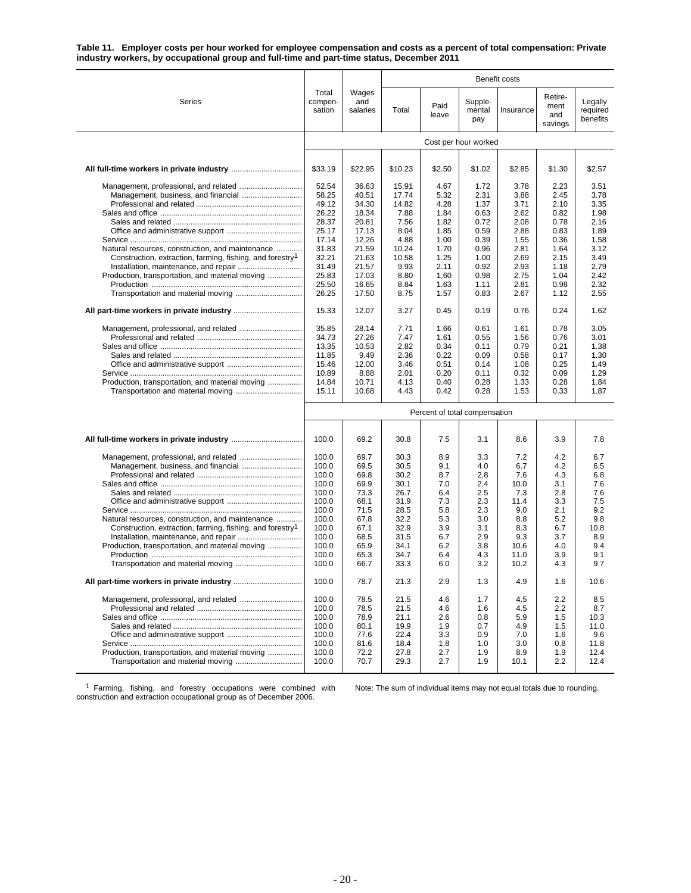**Table 11. Employer costs per hour worked for employee compensation and costs as a percent of total compensation: Private industry workers, by occupational group and full-time and part-time status, December 2011**

|                                                                       |                               |                          |               |               |                          | Benefit costs |                                   |                                 |  |
|-----------------------------------------------------------------------|-------------------------------|--------------------------|---------------|---------------|--------------------------|---------------|-----------------------------------|---------------------------------|--|
| Series                                                                | Total<br>compen-<br>sation    | Wages<br>and<br>salaries | Total         | Paid<br>leave | Supple-<br>mental<br>pay | Insurance     | Retire-<br>ment<br>and<br>savings | Legally<br>required<br>benefits |  |
|                                                                       | Cost per hour worked          |                          |               |               |                          |               |                                   |                                 |  |
|                                                                       |                               |                          |               |               |                          |               |                                   |                                 |  |
|                                                                       | \$33.19                       | \$22.95                  | \$10.23       | \$2.50        | \$1.02                   | \$2.85        | \$1.30                            | \$2.57                          |  |
|                                                                       | 52.54                         | 36.63                    | 15.91         | 4.67          | 1.72                     | 3.78          | 2.23                              | 3.51                            |  |
|                                                                       | 58.25                         | 40.51                    | 17.74         | 5.32          | 2.31                     | 3.88          | 2.45                              | 3.78                            |  |
|                                                                       | 49.12<br>26.22                | 34.30<br>18.34           | 14.82<br>7.88 | 4.28<br>1.84  | 1.37<br>0.63             | 3.71<br>2.62  | 2.10<br>0.82                      | 3.35<br>1.98                    |  |
|                                                                       | 28.37                         | 20.81                    | 7.56          | 1.82          | 0.72                     | 2.08          | 0.78                              | 2.16                            |  |
|                                                                       | 25.17                         | 17.13                    | 8.04          | 1.85          | 0.59                     | 2.88          | 0.83                              | 1.89                            |  |
|                                                                       | 17.14                         | 12.26                    | 4.88          | 1.00          | 0.39                     | 1.55          | 0.36                              | 1.58                            |  |
| Natural resources, construction, and maintenance                      | 31.83                         | 21.59                    | 10.24         | 1.70          | 0.96                     | 2.81          | 1.64                              | 3.12                            |  |
| Construction, extraction, farming, fishing, and forestry <sup>1</sup> | 32.21                         | 21.63                    | 10.58         | 1.25          | 1.00                     | 2.69          | 2.15                              | 3.49                            |  |
|                                                                       | 31.49                         | 21.57                    | 9.93          | 2.11          | 0.92                     | 2.93          | 1.18                              | 2.79                            |  |
| Production, transportation, and material moving                       | 25.83                         | 17.03                    | 8.80          | 1.60          | 0.98                     | 2.75          | 1.04                              | 2.42                            |  |
|                                                                       | 25.50                         | 16.65                    | 8.84          | 1.63          | 1.11                     | 2.81          | 0.98                              | 2.32                            |  |
|                                                                       | 26.25                         | 17.50                    | 8.75          | 1.57          | 0.83                     | 2.67          | 1.12                              | 2.55                            |  |
|                                                                       | 15.33                         | 12.07                    | 3.27          | 0.45          | 0.19                     | 0.76          | 0.24                              | 1.62                            |  |
|                                                                       | 35.85                         | 28.14                    | 7.71          | 1.66          | 0.61                     | 1.61          | 0.78                              | 3.05                            |  |
|                                                                       | 34.73                         | 27.26                    | 7.47          | 1.61          | 0.55                     | 1.56          | 0.76                              | 3.01                            |  |
|                                                                       | 13.35                         | 10.53                    | 2.82          | 0.34          | 0.11                     | 0.79          | 0.21                              | 1.38                            |  |
|                                                                       | 11.85                         | 9.49                     | 2.36          | 0.22          | 0.09                     | 0.58          | 0.17                              | 1.30                            |  |
|                                                                       | 15.46                         | 12.00                    | 3.46          | 0.51          | 0.14                     | 1.08          | 0.25                              | 1.49                            |  |
|                                                                       | 10.89                         | 8.88                     | 2.01          | 0.20          | 0.11                     | 0.32          | 0.09                              | 1.29                            |  |
| Production, transportation, and material moving                       | 14.84                         | 10.71                    | 4.13          | 0.40          | 0.28                     | 1.33          | 0.28                              | 1.84                            |  |
|                                                                       | 15.11                         | 10.68                    | 4.43          | 0.42          | 0.28                     | 1.53          | 0.33                              | 1.87                            |  |
|                                                                       | Percent of total compensation |                          |               |               |                          |               |                                   |                                 |  |
|                                                                       | 100.0                         | 69.2                     | 30.8          | 7.5           | 3.1                      | 8.6           | 3.9                               | 7.8                             |  |
|                                                                       | 100.0                         | 69.7                     | 30.3          | 8.9           | 3.3                      | 7.2           | 4.2                               | 6.7                             |  |
|                                                                       | 100.0                         | 69.5                     | 30.5          | 9.1           | 4.0                      | 6.7           | 4.2                               | 6.5                             |  |
|                                                                       | 100.0                         | 69.8                     | 30.2          | 8.7           | 2.8                      | 7.6           | 4.3                               | 6.8                             |  |
|                                                                       | 100.0                         | 69.9                     | 30.1          | 7.0           | 2.4                      | 10.0          | 3.1                               | 7.6                             |  |
|                                                                       | 100.0                         | 73.3                     | 26.7          | 6.4           | 2.5                      | 7.3           | 2.8                               | 7.6                             |  |
|                                                                       | 100.0                         | 68.1                     | 31.9          | 7.3           | 2.3                      | 11.4          | 3.3                               | 7.5                             |  |
|                                                                       | 100.0                         | 71.5                     | 28.5          | 5.8           | 2.3                      | 9.0           | 2.1                               | 9.2                             |  |
| Natural resources, construction, and maintenance                      | 100.0                         | 67.8                     | 32.2          | 5.3           | 3.0                      | 8.8           | 5.2                               | 9.8                             |  |
| Construction, extraction, farming, fishing, and forestry <sup>1</sup> | 100.0                         | 67.1                     | 32.9          | 3.9           | 3.1                      | 8.3           | 6.7                               | 10.8                            |  |
|                                                                       | 100.0                         | 68.5                     | 31.5          | 6.7           | 2.9                      | 9.3           | 3.7                               | 8.9                             |  |
| Production, transportation, and material moving                       | 100.0                         | 65.9                     | 34.1          | 6.2           | 3.8                      | 10.6          | 4.0                               | 9.4                             |  |
|                                                                       | 100.0<br>100.0                | 65.3<br>66.7             | 34.7<br>33.3  | 6.4<br>6.0    | 4.3<br>3.2               | 11.0<br>10.2  | 3.9<br>4.3                        | 9.1<br>9.7                      |  |
|                                                                       | 100.0                         | 78.7                     | 21.3          | 2.9           | 1.3                      | 4.9           | 1.6                               | 10.6                            |  |
|                                                                       | 100.0                         | 78.5                     | 21.5          | 4.6           | 1.7                      | 4.5           | 2.2                               | 8.5                             |  |
|                                                                       | 100.0                         | 78.5                     | 21.5          | 4.6           | 1.6                      | 4.5           | 2.2                               | 8.7                             |  |
|                                                                       | 100.0                         | 78.9                     | 21.1          | 2.6           | 0.8                      | 5.9           | 1.5                               | 10.3                            |  |
|                                                                       | 100.0                         | 80.1                     | 19.9          | 1.9           | 0.7                      | 4.9           | 1.5                               | 11.0                            |  |
|                                                                       | 100.0                         | 77.6                     | 22.4          | 3.3           | 0.9                      | 7.0           | 1.6                               | 9.6                             |  |
|                                                                       | 100.0                         | 81.6                     | 18.4          | 1.8           | 1.0                      | 3.0           | 0.8                               | 11.8                            |  |
| Production, transportation, and material moving                       | 100.0                         | 72.2                     | 27.8          | 2.7           | 1.9                      | 8.9           | 1.9                               | 12.4                            |  |
|                                                                       | 100.0                         | 70.7                     | 29.3          | 2.7           | 1.9                      | 10.1          | 2.2                               | 12.4                            |  |

<sup>1</sup> Farming, fishing, and forestry occupations were combined with construction and extraction occupational group as of December 2006.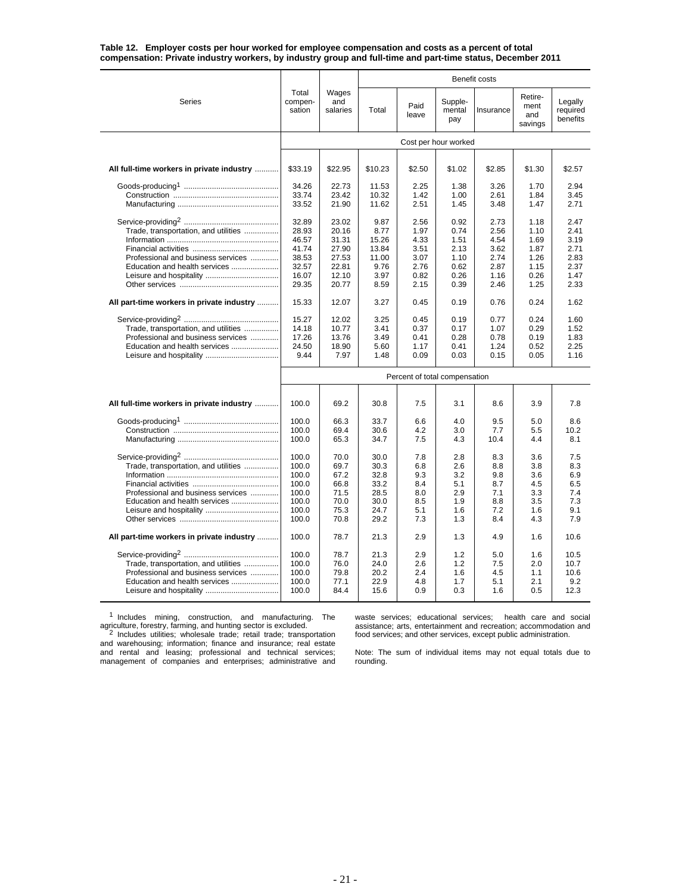| Table 12. Employer costs per hour worked for employee compensation and costs as a percent of total          |  |  |  |  |
|-------------------------------------------------------------------------------------------------------------|--|--|--|--|
| compensation: Private industry workers, by industry group and full-time and part-time status, December 2011 |  |  |  |  |

|                                                                                                                                        |                                                                      |                                                                      |                                                                 |                                                              |                                                              | Benefit costs                                                |                                                              |                                                              |
|----------------------------------------------------------------------------------------------------------------------------------------|----------------------------------------------------------------------|----------------------------------------------------------------------|-----------------------------------------------------------------|--------------------------------------------------------------|--------------------------------------------------------------|--------------------------------------------------------------|--------------------------------------------------------------|--------------------------------------------------------------|
| Series                                                                                                                                 | Total<br>compen-<br>sation                                           | Wages<br>and<br>salaries                                             | Total                                                           | Paid<br>leave                                                | Supple-<br>mental<br>pay                                     | Insurance                                                    | Retire-<br>ment<br>and<br>savings                            | Legally<br>required<br>benefits                              |
|                                                                                                                                        |                                                                      |                                                                      |                                                                 |                                                              | Cost per hour worked                                         |                                                              |                                                              |                                                              |
|                                                                                                                                        |                                                                      |                                                                      |                                                                 |                                                              |                                                              |                                                              |                                                              |                                                              |
| All full-time workers in private industry                                                                                              | \$33.19                                                              | \$22.95                                                              | \$10.23                                                         | \$2.50                                                       | \$1.02                                                       | \$2.85                                                       | \$1.30                                                       | \$2.57                                                       |
|                                                                                                                                        | 34.26<br>33.74<br>33.52                                              | 22.73<br>23.42<br>21.90                                              | 11.53<br>10.32<br>11.62                                         | 2.25<br>1.42<br>2.51                                         | 1.38<br>1.00<br>1.45                                         | 3.26<br>2.61<br>3.48                                         | 1.70<br>1.84<br>1.47                                         | 2.94<br>3.45<br>2.71                                         |
| Trade, transportation, and utilities<br>Professional and business services<br>Education and health services<br>Leisure and hospitality | 32.89<br>28.93<br>46.57<br>41.74<br>38.53<br>32.57<br>16.07<br>29.35 | 23.02<br>20.16<br>31.31<br>27.90<br>27.53<br>22.81<br>12.10<br>20.77 | 9.87<br>8.77<br>15.26<br>13.84<br>11.00<br>9.76<br>3.97<br>8.59 | 2.56<br>1.97<br>4.33<br>3.51<br>3.07<br>2.76<br>0.82<br>2.15 | 0.92<br>0.74<br>1.51<br>2.13<br>1.10<br>0.62<br>0.26<br>0.39 | 2.73<br>2.56<br>4.54<br>3.62<br>2.74<br>2.87<br>1.16<br>2.46 | 1.18<br>1.10<br>1.69<br>1.87<br>1.26<br>1.15<br>0.26<br>1.25 | 2.47<br>2.41<br>3.19<br>2.71<br>2.83<br>2.37<br>1.47<br>2.33 |
| All part-time workers in private industry                                                                                              | 15.33                                                                | 12.07                                                                | 3.27                                                            | 0.45                                                         | 0.19                                                         | 0.76                                                         | 0.24                                                         | 1.62                                                         |
| Trade, transportation, and utilities<br>Professional and business services<br>Education and health services                            | 15.27<br>14.18<br>17.26<br>24.50<br>9.44                             | 12.02<br>10.77<br>13.76<br>18.90<br>7.97                             | 3.25<br>3.41<br>3.49<br>5.60<br>1.48                            | 0.45<br>0.37<br>0.41<br>1.17<br>0.09                         | 0.19<br>0.17<br>0.28<br>0.41<br>0.03                         | 0.77<br>1.07<br>0.78<br>1.24<br>0.15                         | 0.24<br>0.29<br>0.19<br>0.52<br>0.05                         | 1.60<br>1.52<br>1.83<br>2.25<br>1.16                         |
|                                                                                                                                        |                                                                      |                                                                      |                                                                 | Percent of total compensation                                |                                                              |                                                              |                                                              |                                                              |
| All full-time workers in private industry                                                                                              | 100.0                                                                | 69.2                                                                 | 30.8                                                            | 7.5                                                          | 3.1                                                          | 8.6                                                          | 3.9                                                          | 7.8                                                          |
|                                                                                                                                        | 100.0<br>100.0<br>100.0                                              | 66.3<br>69.4<br>65.3                                                 | 33.7<br>30.6<br>34.7                                            | 6.6<br>4.2<br>7.5                                            | 4.0<br>3.0<br>4.3                                            | 9.5<br>7.7<br>10.4                                           | 5.0<br>5.5<br>4.4                                            | 8.6<br>10.2<br>8.1                                           |
| Trade, transportation, and utilities<br>Professional and business services<br>Education and health services                            | 100.0<br>100.0<br>100.0<br>100.0<br>100.0<br>100.0<br>100.0<br>100.0 | 70.0<br>69.7<br>67.2<br>66.8<br>71.5<br>70.0<br>75.3<br>70.8         | 30.0<br>30.3<br>32.8<br>33.2<br>28.5<br>30.0<br>24.7<br>29.2    | 7.8<br>6.8<br>9.3<br>8.4<br>8.0<br>8.5<br>5.1<br>7.3         | 2.8<br>2.6<br>3.2<br>5.1<br>2.9<br>1.9<br>1.6<br>1.3         | 8.3<br>8.8<br>9.8<br>8.7<br>7.1<br>8.8<br>7.2<br>8.4         | 3.6<br>3.8<br>3.6<br>4.5<br>3.3<br>3.5<br>1.6<br>4.3         | 7.5<br>8.3<br>6.9<br>6.5<br>7.4<br>7.3<br>9.1<br>7.9         |
| All part-time workers in private industry                                                                                              | 100.0                                                                | 78.7                                                                 | 21.3                                                            | 2.9                                                          | 1.3                                                          | 4.9                                                          | 1.6                                                          | 10.6                                                         |
| Trade, transportation, and utilities<br>Professional and business services<br>Education and health services                            | 100.0<br>100.0<br>100.0<br>100.0<br>100.0                            | 78.7<br>76.0<br>79.8<br>77.1<br>84.4                                 | 21.3<br>24.0<br>20.2<br>22.9<br>15.6                            | 2.9<br>2.6<br>2.4<br>4.8<br>0.9                              | 1.2<br>1.2<br>1.6<br>1.7<br>0.3                              | 5.0<br>7.5<br>4.5<br>5.1<br>1.6                              | 1.6<br>2.0<br>1.1<br>2.1<br>0.5                              | 10.5<br>10.7<br>10.6<br>9.2<br>12.3                          |

<sup>1</sup> Includes mining, construction, and manufacturing. The

waste services; educational services; health care and social assistance; arts, entertainment and recreation; accommodation and food services; and other services, except public administration.

agriculture, forestry, farming, and hunting sector is excluded.<br>
<sup>2</sup> Includes utilities; wholesale trade; retail trade; transportation<br>
and warehousing; information; finance and insurance; real estate<br>
and rental and leasi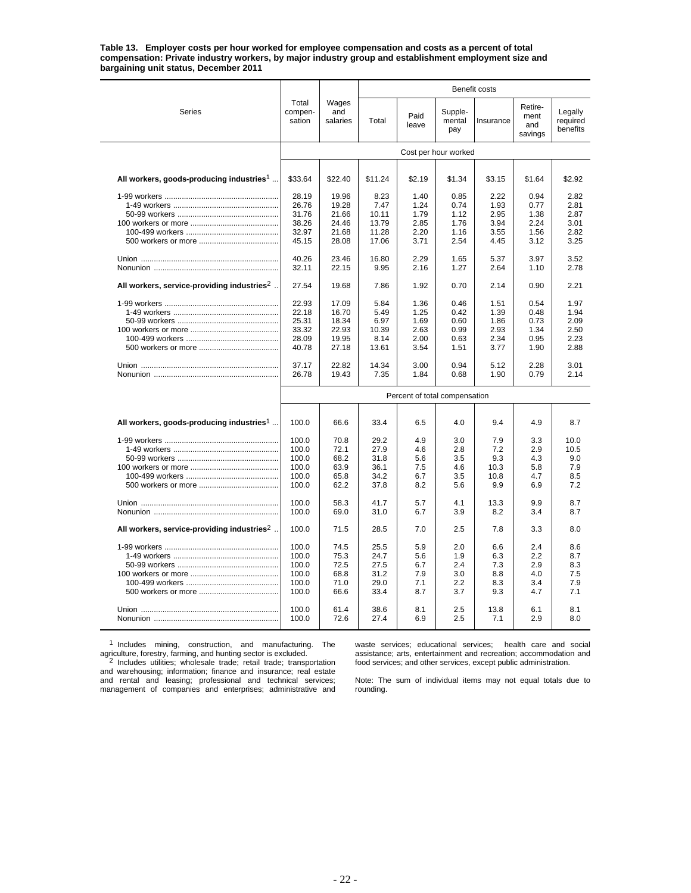**Table 13. Employer costs per hour worked for employee compensation and costs as a percent of total compensation: Private industry workers, by major industry group and establishment employment size and bargaining unit status, December 2011**

|                                                          |                                                             |                                                      |                                                      |                                               |                                               | Benefit costs                                  |                                               |                                               |
|----------------------------------------------------------|-------------------------------------------------------------|------------------------------------------------------|------------------------------------------------------|-----------------------------------------------|-----------------------------------------------|------------------------------------------------|-----------------------------------------------|-----------------------------------------------|
| Series                                                   | Total<br>compen-<br>sation                                  | Wages<br>and<br>salaries                             | Total                                                | Paid<br>leave                                 | Supple-<br>mental<br>pay                      | Insurance                                      | Retire-<br>ment<br>and<br>savings             | Legally<br>required<br>benefits               |
|                                                          |                                                             |                                                      |                                                      |                                               | Cost per hour worked                          |                                                |                                               |                                               |
|                                                          |                                                             |                                                      |                                                      |                                               |                                               |                                                |                                               |                                               |
| All workers, goods-producing industries <sup>1</sup>     | \$33.64                                                     | \$22.40                                              | \$11.24                                              | \$2.19                                        | \$1.34                                        | \$3.15                                         | \$1.64                                        | \$2.92                                        |
|                                                          | 28.19<br>26.76<br>31.76<br>38.26<br>32.97<br>45.15          | 19.96<br>19.28<br>21.66<br>24.46<br>21.68<br>28.08   | 8.23<br>7.47<br>10.11<br>13.79<br>11.28<br>17.06     | 1.40<br>1.24<br>1.79<br>2.85<br>2.20<br>3.71  | 0.85<br>0.74<br>1.12<br>1.76<br>1.16<br>2.54  | 2.22<br>1.93<br>2.95<br>3.94<br>3.55<br>4.45   | 0.94<br>0.77<br>1.38<br>2.24<br>1.56<br>3.12  | 2.82<br>2.81<br>2.87<br>3.01<br>2.82<br>3.25  |
|                                                          | 40.26<br>32.11                                              | 23.46<br>22.15                                       | 16.80<br>9.95                                        | 2.29<br>2.16                                  | 1.65<br>1.27                                  | 5.37<br>2.64                                   | 3.97<br>1.10                                  | 3.52<br>2.78                                  |
| All workers, service-providing industries <sup>2</sup> . | 27.54                                                       | 19.68                                                | 7.86                                                 | 1.92                                          | 0.70                                          | 2.14                                           | 0.90                                          | 2.21                                          |
|                                                          | 22.93<br>22.18<br>25.31<br>33.32<br>28.09<br>40.78          | 17.09<br>16.70<br>18.34<br>22.93<br>19.95<br>27.18   | 5.84<br>5.49<br>6.97<br>10.39<br>8.14<br>13.61       | 1.36<br>1.25<br>1.69<br>2.63<br>2.00<br>3.54  | 0.46<br>0.42<br>0.60<br>0.99<br>0.63<br>1.51  | 1.51<br>1.39<br>1.86<br>2.93<br>2.34<br>3.77   | 0.54<br>0.48<br>0.73<br>1.34<br>0.95<br>1.90  | 1.97<br>1.94<br>2.09<br>2.50<br>2.23<br>2.88  |
|                                                          | 37.17<br>26.78                                              | 22.82<br>19.43                                       | 14.34<br>7.35                                        | 3.00<br>1.84                                  | 0.94<br>0.68                                  | 5.12<br>1.90                                   | 2.28<br>0.79                                  | 3.01<br>2.14                                  |
|                                                          |                                                             |                                                      |                                                      | Percent of total compensation                 |                                               |                                                |                                               |                                               |
| All workers, goods-producing industries <sup>1</sup>     | 100.0                                                       | 66.6                                                 | 33.4                                                 | 6.5                                           | 4.0                                           | 9.4                                            | 4.9                                           | 8.7                                           |
|                                                          | 100.0<br>100.0<br>100.0<br>100.0<br>100.0<br>100.0          | 70.8<br>72.1<br>68.2<br>63.9<br>65.8<br>62.2         | 29.2<br>27.9<br>31.8<br>36.1<br>34.2<br>37.8         | 4.9<br>4.6<br>5.6<br>7.5<br>6.7<br>8.2        | 3.0<br>2.8<br>3.5<br>4.6<br>3.5<br>5.6        | 7.9<br>7.2<br>9.3<br>10.3<br>10.8<br>9.9       | 3.3<br>2.9<br>4.3<br>5.8<br>4.7<br>6.9        | 10.0<br>10.5<br>9.0<br>7.9<br>8.5<br>7.2      |
|                                                          | 100.0<br>100.0                                              | 58.3<br>69.0                                         | 41.7<br>31.0                                         | 5.7<br>6.7                                    | 4.1<br>3.9                                    | 13.3<br>8.2                                    | 9.9<br>3.4                                    | 8.7<br>8.7                                    |
| All workers, service-providing industries <sup>2</sup> . | 100.0                                                       | 71.5                                                 | 28.5                                                 | 7.0                                           | 2.5                                           | 7.8                                            | 3.3                                           | 8.0                                           |
|                                                          | 100.0<br>100.0<br>100.0<br>100.0<br>100.0<br>100.0<br>100.0 | 74.5<br>75.3<br>72.5<br>68.8<br>71.0<br>66.6<br>61.4 | 25.5<br>24.7<br>27.5<br>31.2<br>29.0<br>33.4<br>38.6 | 5.9<br>5.6<br>6.7<br>7.9<br>7.1<br>8.7<br>8.1 | 2.0<br>1.9<br>2.4<br>3.0<br>2.2<br>3.7<br>2.5 | 6.6<br>6.3<br>7.3<br>8.8<br>8.3<br>9.3<br>13.8 | 2.4<br>2.2<br>2.9<br>4.0<br>3.4<br>4.7<br>6.1 | 8.6<br>8.7<br>8.3<br>7.5<br>7.9<br>7.1<br>8.1 |
|                                                          | 100.0                                                       | 72.6                                                 | 27.4                                                 | 6.9                                           | 2.5                                           | 7.1                                            | 2.9                                           | 8.0                                           |

<sup>1</sup> Includes mining, construction, and manufacturing. The

waste services; educational services; health care and social assistance; arts, entertainment and recreation; accommodation and food services; and other services, except public administration.

agriculture, forestry, farming, and hunting sector is excluded.<br><sup>2</sup> Includes utilities; wholesale trade; retail trade; transportation and warehousing; information; finance and insurance; real estate and rental and leasing; professional and technical services; management of companies and enterprises; administrative and